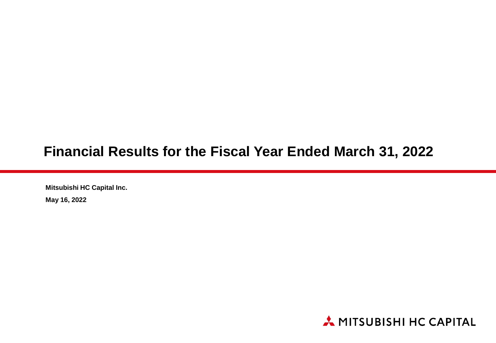### **Financial Results for the Fiscal Year Ended March 31, 2022**

**Mitsubishi HC Capital Inc.**

**May 16, 2022**

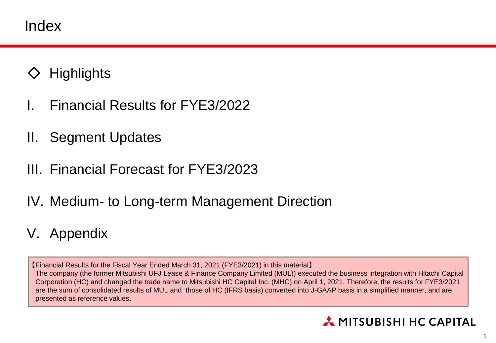Index

- **Highlights**
- I. Financial Results for FYE3/2022
- II. Segment Updates
- III. Financial Forecast for FYE3/2023
- IV. Medium- to Long-term Management Direction
- V. Appendix

【Financial Results for the Fiscal Year Ended March 31, 2021 (FYE3/2021) in this material】 The company (the former Mitsubishi UFJ Lease & Finance Company Limited (MUL)) executed the business integration with Hitachi Capital Corporation (HC) and changed the trade name to Mitsubishi HC Capital Inc. (MHC) on April 1, 2021. Therefore, the results for FYE3/2021 are the sum of consolidated results of MUL and those of HC (IFRS basis) converted into J-GAAP basis in a simplified manner, and are presented as reference values.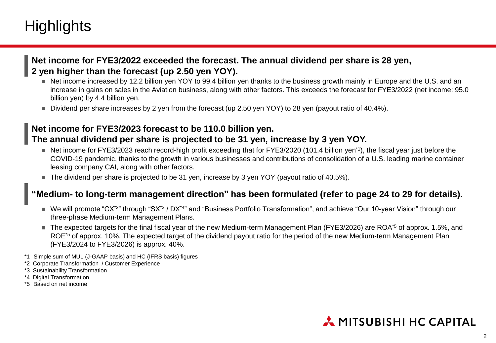## **Highlights**

#### **Net income for FYE3/2022 exceeded the forecast. The annual dividend per share is 28 yen, 2 yen higher than the forecast (up 2.50 yen YOY).**

- Net income increased by 12.2 billion yen YOY to 99.4 billion yen thanks to the business growth mainly in Europe and the U.S. and an increase in gains on sales in the Aviation business, along with other factors. This exceeds the forecast for FYE3/2022 (net income: 95.0 billion yen) by 4.4 billion yen.
- Dividend per share increases by 2 yen from the forecast (up 2.50 yen YOY) to 28 yen (payout ratio of 40.4%).

#### **Net income for FYE3/2023 forecast to be 110.0 billion yen. The annual dividend per share is projected to be 31 yen, increase by 3 yen YOY.**

- Net income for FYE3/2023 reach record-high profit exceeding that for FYE3/2020 (101.4 billion yen<sup>\*1</sup>), the fiscal year just before the COVID-19 pandemic, thanks to the growth in various businesses and contributions of consolidation of a U.S. leading marine container leasing company CAI, along with other factors.
- The dividend per share is projected to be 31 yen, increase by 3 yen YOY (payout ratio of 40.5%).

#### **"Medium- to long-term management direction" has been formulated (refer to page 24 to 29 for details).**

- We will promote "CX<sup>\*2</sup>" through "SX<sup>\*3</sup> / DX<sup>\*4</sup>" and "Business Portfolio Transformation", and achieve "Our 10-year Vision" through our three-phase Medium-term Management Plans.
- The expected targets for the final fiscal year of the new Medium-term Management Plan (FYE3/2026) are ROA<sup>\*5</sup> of approx. 1.5%, and ROE<sup>\*5</sup> of approx. 10%. The expected target of the dividend payout ratio for the period of the new Medium-term Management Plan (FYE3/2024 to FYE3/2026) is approx. 40%.
- \*1 Simple sum of MUL (J-GAAP basis) and HC (IFRS basis) figures
- \*2 Corporate Transformation / Customer Experience
- \*3 Sustainability Transformation
- \*4 Digital Transformation
- \*5 Based on net income

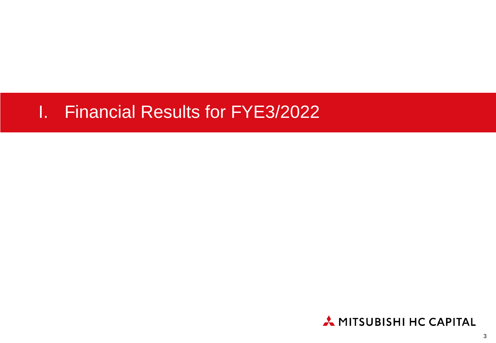# I. Financial Results for FYE3/2022

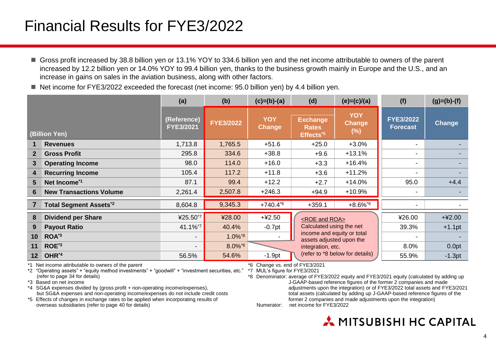## Financial Results for FYE3/2022

- Gross profit increased by 38.8 billion yen or 13.1% YOY to 334.6 billion yen and the net income attributable to owners of the parent increased by 12.2 billion yen or 14.0% YOY to 99.4 billion yen, thanks to the business growth mainly in Europe and the U.S., and an increase in gains on sales in the aviation business, along with other factors.
- $\blacksquare$  Net income for FYE3/2022 exceeded the forecast (net income: 95.0 billion yen) by 4.4 billion yen.

|                 |                                | (a)                      | (b)                   | $(c)=(b)-(a)$               | (d)                                                      | $(e)=(c)/(a)$                   | (f)                                 | $(g)=(b)-(f)$ |
|-----------------|--------------------------------|--------------------------|-----------------------|-----------------------------|----------------------------------------------------------|---------------------------------|-------------------------------------|---------------|
|                 | (Billion Yen)                  | (Reference)<br>FYE3/2021 | <b>FYE3/2022</b>      | <b>YOY</b><br><b>Change</b> | <b>Exchange</b><br><b>Rates</b><br>Effects <sup>*5</sup> | <b>YOY</b><br>Change<br>(%)     | <b>FYE3/2022</b><br><b>Forecast</b> | Change        |
|                 | <b>Revenues</b>                | 1,713.8                  | 1,765.5               | $+51.6$                     | $+25.0$                                                  | $+3.0%$                         | ۰                                   |               |
| 2 <sup>1</sup>  | <b>Gross Profit</b>            | 295.8                    | 334.6                 | $+38.8$                     | $+9.6$                                                   | $+13.1%$                        | ۰                                   |               |
| 3               | <b>Operating Income</b>        | 98.0                     | 114.0                 | $+16.0$                     | $+3.3$                                                   | $+16.4%$                        | -                                   |               |
| 4               | <b>Recurring Income</b>        | 105.4                    | 117.2                 | $+11.8$                     | $+3.6$                                                   | $+11.2%$                        | $\blacksquare$                      |               |
| 5.              | Net Income <sup>*1</sup>       | 87.1                     | 99.4                  | $+12.2$                     | $+2.7$                                                   | $+14.0%$                        | 95.0                                | $+4.4$        |
| 6               | <b>New Transactions Volume</b> | 2,261.4                  | 2,507.8               | $+246.3$                    | $+94.9$                                                  | $+10.9%$                        |                                     |               |
|                 | <b>Total Segment Assets*2</b>  | 8,604.8                  | 9,345.3               | $+740.4^{6}$                | $+359.1$                                                 | $+8.6\%$ <sup>*6</sup>          |                                     |               |
| 8               | <b>Dividend per Share</b>      | ¥25.50*7                 | ¥28.00                | $+42.50$                    | <roe and="" roa=""></roe>                                |                                 | ¥26.00                              | $+42.00$      |
| 9               | <b>Payout Ratio</b>            | 41.1%*7                  | 40.4%                 | $-0.7$ pt                   | Calculated using the net                                 |                                 | 39.3%                               | $+1.1$ pt     |
| 10 <sub>1</sub> | ROA <sup>*3</sup>              | $\overline{\phantom{a}}$ | $1.0\%$ <sup>*8</sup> |                             | assets adjusted upon the                                 | income and equity or total      |                                     |               |
| 11              | ROE <sup>*3</sup>              | $\overline{\phantom{a}}$ | 8.0%*8                |                             | integration, etc.                                        |                                 | 8.0%                                | 0.0pt         |
| 12 <sup>1</sup> | OHR <sup>*4</sup>              | 56.5%                    | 54.6%                 | $-1.9pt$                    |                                                          | (refer to *8 below for details) | 55.9%                               | $-1.3pt$      |

\*1 Net income attributable to owners of the parent

\*2 "Operating assets" + "equity method investments" + "goodwill" + "investment securities, etc." (refer to page 34 for details)

\*3 Based on net income

\*4 SG&A expenses divided by (gross profit + non-operating income/expenses), but SG&A expenses and non-operating income/expenses do not include credit costs

\*5 Effects of changes in exchange rates to be applied when incorporating results of overseas subsidiaries (refer to page 40 for details)

\*6 Change vs. end of FYE3/2021

\*7 MUL's figure for FYE3/2021

\*8 Denominator: average of FYE3/2022 equity and FYE3/2021 equity (calculated by adding up J-GAAP-based reference figures of the former 2 companies and made adjustments upon the integration) or of FYE3/2022 total assets and FYE3/2021 total assets (calculated by adding up J-GAAP-based reference figures of the former 2 companies and made adjustments upon the integration)

Numerator: net income for FYE3/2022

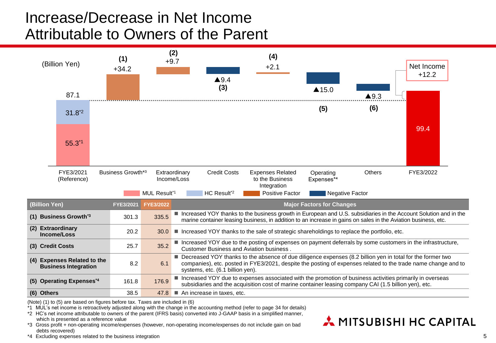## Increase/Decrease in Net Income Attributable to Owners of the Parent



(Note) (1) to (5) are based on figures before tax. Taxes are included in (6)

\*1 MUL's net income is retroactively adjusted along with the change in the accounting method (refer to page 34 for details)

\*2 HC's net income attributable to owners of the parent (IFRS basis) converted into J-GAAP basis in a simplified manner, which is presented as a reference value

\*3 Gross profit + non-operating income/expenses (however, non-operating income/expenses do not include gain on bad debts recovered)

\*4 Excluding expenses related to the business integration

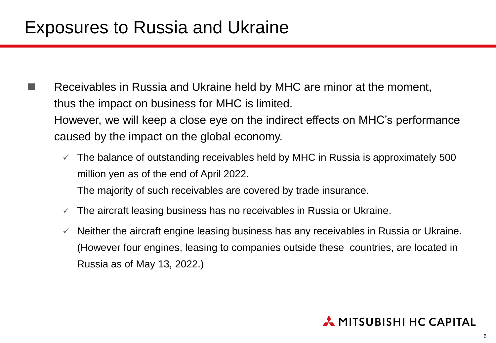- Receivables in Russia and Ukraine held by MHC are minor at the moment, thus the impact on business for MHC is limited. However, we will keep a close eye on the indirect effects on MHC's performance caused by the impact on the global economy.
	- $\checkmark$  The balance of outstanding receivables held by MHC in Russia is approximately 500 million yen as of the end of April 2022. The majority of such receivables are covered by trade insurance.
	-
	- $\checkmark$  The aircraft leasing business has no receivables in Russia or Ukraine.
	- $\checkmark$  Neither the aircraft engine leasing business has any receivables in Russia or Ukraine. (However four engines, leasing to companies outside these countries, are located in Russia as of May 13, 2022.)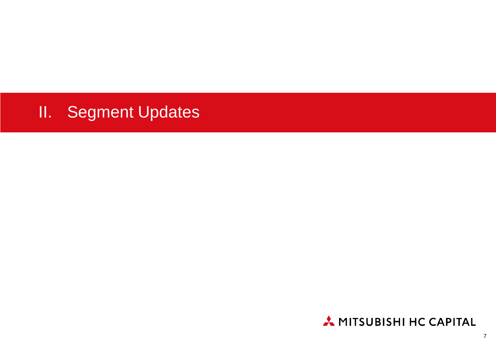# II. Segment Updates

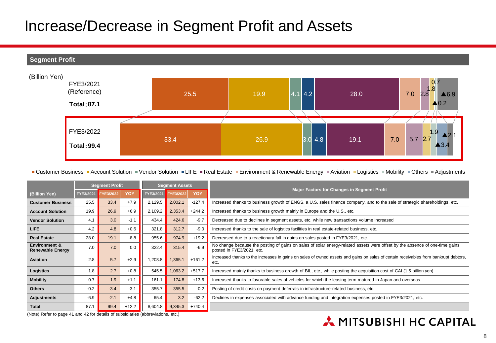### Increase/Decrease in Segment Profit and Assets



■ Customer Business ■ Account Solution ■ Vendor Solution ■ LIFE ■ Real Estate ■ Environment & Renewable Energy ■ Aviation ■ Logistics ■ Mobility ■ Others ■ Adjustments

|                                                     | <b>Segment Profit</b> |                                        | <b>Segment Assets</b> |           |                                                                                                                                                          |                                                                                                 |                                                                                                                                              |  |
|-----------------------------------------------------|-----------------------|----------------------------------------|-----------------------|-----------|----------------------------------------------------------------------------------------------------------------------------------------------------------|-------------------------------------------------------------------------------------------------|----------------------------------------------------------------------------------------------------------------------------------------------|--|
| (Billion Yen)                                       | FYE3/2021             | FYE3/2022                              | YOY                   | FYE3/2021 | FYE3/2022                                                                                                                                                | YOY                                                                                             | <b>Major Factors for Changes in Segment Profit</b>                                                                                           |  |
| <b>Customer Business</b>                            | 25.5                  | 33.4                                   | $+7.9$                | 2,129.5   | 2,002.1                                                                                                                                                  | $-127.4$                                                                                        | Increased thanks to business growth of ENGS, a U.S. sales finance company, and to the sale of strategic shareholdings, etc.                  |  |
| <b>Account Solution</b>                             | 19.9                  | 26.9                                   | $+6.9$                | 2,109.2   | 2,353.4                                                                                                                                                  | $+244.2$                                                                                        | Increased thanks to business growth mainly in Europe and the U.S., etc.                                                                      |  |
| <b>Vendor Solution</b>                              | 4.1                   | 3.0                                    | $-1.1$                | 434.4     | 424.6                                                                                                                                                    | $-9.7$                                                                                          | Decreased due to declines in segment assets, etc. while new transactions volume increased                                                    |  |
| LIFE                                                | 4.2                   | 4.8                                    | $+0.6$                | 321.8     | 312.7                                                                                                                                                    | $-9.0$                                                                                          | Increased thanks to the sale of logistics facilities in real estate-related business, etc.                                                   |  |
| <b>Real Estate</b>                                  | 28.0                  | 19.1                                   | $-8.8$                | 955.6     | 974.9                                                                                                                                                    | $+19.2$                                                                                         | Decreased due to a reactionary fall in gains on sales posted in FYE3/2021, etc.                                                              |  |
| <b>Environment &amp;</b><br><b>Renewable Energy</b> | 7.0                   | $-6.9$<br>7.0<br>322.4<br>0.0<br>315.4 |                       |           | No change because the posting of gains on sales of solar energy-related assets were offset by the absence of one-time gains<br>posted in FYE3/2021, etc. |                                                                                                 |                                                                                                                                              |  |
| <b>Aviation</b>                                     | 2.8                   | 5.7                                    | $+2.9$                | 1,203.8   | ,365.1                                                                                                                                                   | $+161.2$                                                                                        | Increased thanks to the increases in gains on sales of owned assets and gains on sales of certain receivables from bankrupt debtors,<br>etc. |  |
| Logistics                                           | 1.8                   | 2.7                                    | $+0.8$                | 545.5     | ,063.2                                                                                                                                                   | $+517.7$                                                                                        | Increased mainly thanks to business growth of BIL, etc., while posting the acquisition cost of CAI (1.5 billion yen)                         |  |
| <b>Mobility</b>                                     | 0.7                   | 1.9                                    | $+1.1$                | 161.1     | 174.8                                                                                                                                                    | $+13.6$                                                                                         | Increased thanks to favorable sales of vehicles for which the leasing term matured in Japan and overseas                                     |  |
| <b>Others</b>                                       | $-0.2$                | $-3.4$                                 | $-3.1$                | 355.7     | 355.5                                                                                                                                                    | $-0.2$<br>Posting of credit costs on payment deferrals in infrastructure-related business, etc. |                                                                                                                                              |  |
| <b>Adjustments</b>                                  | $-6.9$                | $-2.1$                                 | $+4.8$                | 65.4      | 3.2                                                                                                                                                      | $-62.2$                                                                                         | Declines in expenses associated with advance funding and integration expenses posted in FYE3/2021, etc.                                      |  |
| <b>Total</b>                                        | 87.1                  | 99.4                                   | $+12.2$               | 8,604.8   | 9,345.3                                                                                                                                                  | $+740.4$                                                                                        |                                                                                                                                              |  |

(Note) Refer to page 41 and 42 for details of subsidiaries (abbreviations, etc.)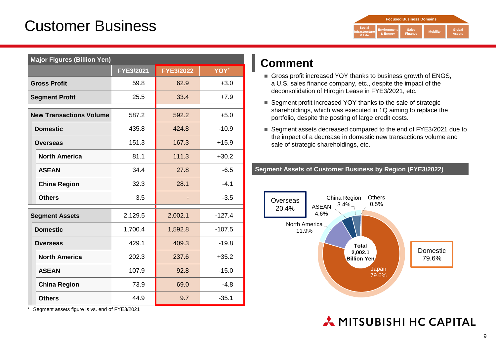## Customer Business



| <b>Major Figures (Billion Yen)</b> |           |                  |          |  |  |
|------------------------------------|-----------|------------------|----------|--|--|
|                                    | FYE3/2021 | <b>FYE3/2022</b> | YOY*     |  |  |
| <b>Gross Profit</b>                | 59.8      | 62.9             | $+3.0$   |  |  |
| <b>Segment Profit</b>              | 25.5      | 33.4             | $+7.9$   |  |  |
| <b>New Transactions Volume</b>     | 587.2     | 592.2            | $+5.0$   |  |  |
| <b>Domestic</b>                    | 435.8     | 424.8            | $-10.9$  |  |  |
| <b>Overseas</b>                    | 151.3     | 167.3            | $+15.9$  |  |  |
| <b>North America</b>               | 81.1      | 111.3            | $+30.2$  |  |  |
| <b>ASEAN</b>                       | 34.4      | 27.8             | $-6.5$   |  |  |
| <b>China Region</b>                | 32.3      | 28.1             | $-4.1$   |  |  |
| <b>Others</b>                      | 3.5       |                  | $-3.5$   |  |  |
| <b>Segment Assets</b>              | 2,129.5   | 2,002.1          | $-127.4$ |  |  |
| <b>Domestic</b>                    | 1,700.4   | 1,592.8          | $-107.5$ |  |  |
| <b>Overseas</b>                    | 429.1     | 409.3            | $-19.8$  |  |  |
| <b>North America</b>               | 202.3     | 237.6            | $+35.2$  |  |  |
| <b>ASEAN</b>                       | 107.9     | 92.8             | $-15.0$  |  |  |
| <b>China Region</b>                | 73.9      | 69.0             | $-4.8$   |  |  |
| <b>Others</b>                      | 44.9      | 9.7              | $-35.1$  |  |  |

Segment assets figure is vs. end of FYE3/2021

#### **Comment**

- Gross profit increased YOY thanks to business growth of ENGS, a U.S. sales finance company, etc., despite the impact of the deconsolidation of Hirogin Lease in FYE3/2021, etc.
- Segment profit increased YOY thanks to the sale of strategic shareholdings, which was executed in 1Q aiming to replace the portfolio, despite the posting of large credit costs.
- Segment assets decreased compared to the end of FYE3/2021 due to the impact of a decrease in domestic new transactions volume and sale of strategic shareholdings, etc.

#### **Segment Assets of Customer Business by Region (FYE3/2022)**

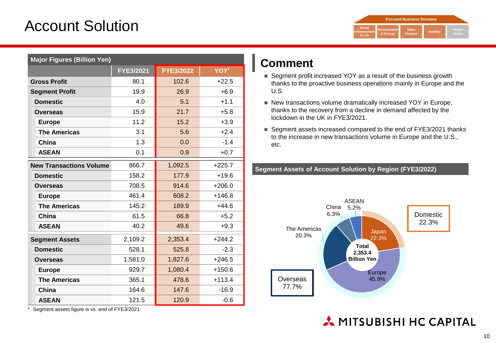## Account Solution



|                                | <b>Major Figures (Billion Yen)</b> |                  |          |  |  |
|--------------------------------|------------------------------------|------------------|----------|--|--|
|                                | FYE3/2021                          | <b>FYE3/2022</b> | YOY*     |  |  |
| <b>Gross Profit</b>            | 80.1                               | 102.6            | $+22.5$  |  |  |
| <b>Segment Profit</b>          | 19.9                               | 26.9             | $+6.9$   |  |  |
| <b>Domestic</b>                | 4.0                                | 5.1              | $+1.1$   |  |  |
| Overseas                       | 15.9                               | 21.7             | $+5.8$   |  |  |
| <b>Europe</b>                  | 11.2                               | 15.2             | $+3.9$   |  |  |
| <b>The Americas</b>            | 3.1                                | 5.6              | $+2.4$   |  |  |
| China                          | 1.3                                | 0.0              | $-1.4$   |  |  |
| <b>ASEAN</b>                   | 0.1                                | 0.9              | $+0.7$   |  |  |
| <b>New Transactions Volume</b> | 866.7                              | 1,092.5          | $+225.7$ |  |  |
| <b>Domestic</b>                | 158.2                              | 177.9            | $+19.6$  |  |  |
| <b>Overseas</b>                | 708.5                              | 914.6            | $+206.0$ |  |  |
| <b>Europe</b>                  | 461.4                              | 608.2            | $+146.8$ |  |  |
| <b>The Americas</b>            | 145.2                              | 189.9            | $+44.6$  |  |  |
| China                          | 61.5                               | 66.8             | $+5.2$   |  |  |
| <b>ASEAN</b>                   | 40.2                               | 49.6             | $+9.3$   |  |  |
| <b>Segment Assets</b>          | 2,109.2                            | 2,353.4          | $+244.2$ |  |  |
| <b>Domestic</b>                | 528.1                              | 525.8            | $-2.3$   |  |  |
| <b>Overseas</b>                | 1,581.0                            | 1,827.6          | $+246.5$ |  |  |
| <b>Europe</b>                  | 929.7                              | 1,080.4          | $+150.6$ |  |  |
| <b>The Americas</b>            | 365.1                              | 478.6            | $+113.4$ |  |  |
| China                          | 164.6                              | 147.6            | $-16.9$  |  |  |
| <b>ASEAN</b>                   | 121.5                              | 120.9            | $-0.6$   |  |  |

**Comment**

- Segment profit increased YOY as a result of the business growth thanks to the proactive business operations mainly in Europe and the U.S.
- New transactions volume dramatically increased YOY in Europe, thanks to the recovery from a decline in demand affected by the lockdown in the UK in FYE3/2021.
- Segment assets increased compared to the end of FYE3/2021 thanks to the increase in new transactions volume in Europe and the U.S., etc.

**Segment Assets of Account Solution by Region (FYE3/2022)**



\* Segment assets figure is vs. end of FYE3/2021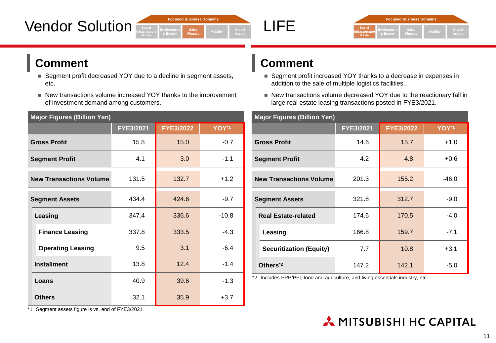





#### **Comment**

- Segment profit decreased YOY due to a decline in segment assets, etc.
- New transactions volume increased YOY thanks to the improvement of investment demand among customers.

| <b>Major Figures (Billion Yen)</b>      |           |                  |         |  |  |
|-----------------------------------------|-----------|------------------|---------|--|--|
|                                         | FYE3/2021 | <b>FYE3/2022</b> | YOY*1   |  |  |
| <b>Gross Profit</b>                     | 15.8      | 15.0             | $-0.7$  |  |  |
| <b>Segment Profit</b>                   | 4.1       | 3.0              | $-1.1$  |  |  |
| 131.5<br><b>New Transactions Volume</b> |           | 132.7            | $+1.2$  |  |  |
| 434.4<br><b>Segment Assets</b>          |           | 424.6            | $-9.7$  |  |  |
| Leasing                                 | 347.4     | 336.6            | $-10.8$ |  |  |
| <b>Finance Leasing</b>                  | 337.8     | 333.5            | $-4.3$  |  |  |
| <b>Operating Leasing</b>                | 9.5       | 3.1              | $-6.4$  |  |  |
| <b>Installment</b>                      | 13.8      | 12.4             | $-1.4$  |  |  |
| Loans                                   | 40.9      | 39.6             | $-1.3$  |  |  |
| <b>Others</b>                           | 32.1      | 35.9             | $+3.7$  |  |  |

#### **Comment**

- Segment profit increased YOY thanks to a decrease in expenses in addition to the sale of multiple logistics facilities.
- New transactions volume decreased YOY due to the reactionary fall in large real estate leasing transactions posted in FYE3/2021.

| <b>Major Figures (Billion Yen)</b>                                                                                                                                                                                                                                                                                                                                                                                                                                                                                                                                                              |           |            |         |  |
|-------------------------------------------------------------------------------------------------------------------------------------------------------------------------------------------------------------------------------------------------------------------------------------------------------------------------------------------------------------------------------------------------------------------------------------------------------------------------------------------------------------------------------------------------------------------------------------------------|-----------|------------|---------|--|
|                                                                                                                                                                                                                                                                                                                                                                                                                                                                                                                                                                                                 | FYE3/2021 | FYE3/2022  | YOY*1   |  |
| <b>Gross Profit</b>                                                                                                                                                                                                                                                                                                                                                                                                                                                                                                                                                                             | 14.6      | 15.7       | $+1.0$  |  |
| <b>Segment Profit</b>                                                                                                                                                                                                                                                                                                                                                                                                                                                                                                                                                                           | 4.2       | 4.8        | $+0.6$  |  |
| 201.3<br><b>New Transactions Volume</b>                                                                                                                                                                                                                                                                                                                                                                                                                                                                                                                                                         |           | 155.2      | $-46.0$ |  |
| 321.8<br><b>Segment Assets</b>                                                                                                                                                                                                                                                                                                                                                                                                                                                                                                                                                                  |           | 312.7      | $-9.0$  |  |
| <b>Real Estate-related</b>                                                                                                                                                                                                                                                                                                                                                                                                                                                                                                                                                                      | 174.6     | 170.5      | $-4.0$  |  |
| Leasing                                                                                                                                                                                                                                                                                                                                                                                                                                                                                                                                                                                         | 166.8     | 159.7      | $-7.1$  |  |
| <b>Securitization (Equity)</b>                                                                                                                                                                                                                                                                                                                                                                                                                                                                                                                                                                  | 7.7       | 10.8       | $+3.1$  |  |
| Others <sup>*2</sup><br>$\mathcal{L} \bullet \mathcal{L} \bullet \mathcal{L} \bullet \mathcal{L} \bullet \mathcal{L} \bullet \mathcal{L} \bullet \mathcal{L} \bullet \mathcal{L} \bullet \mathcal{L} \bullet \mathcal{L} \bullet \mathcal{L} \bullet \mathcal{L} \bullet \mathcal{L} \bullet \mathcal{L} \bullet \mathcal{L} \bullet \mathcal{L} \bullet \mathcal{L} \bullet \mathcal{L} \bullet \mathcal{L} \bullet \mathcal{L} \bullet \mathcal{L} \bullet \mathcal{L} \bullet \mathcal{L} \bullet \mathcal{L} \bullet \mathcal{L} \bullet \mathcal{L} \bullet \mathcal{L} \bullet \mathcal{$ | 147.2     | 142.1<br>. | $-5.0$  |  |

\*2 Includes PPP/PFI, food and agriculture, and living essentials industry, etc.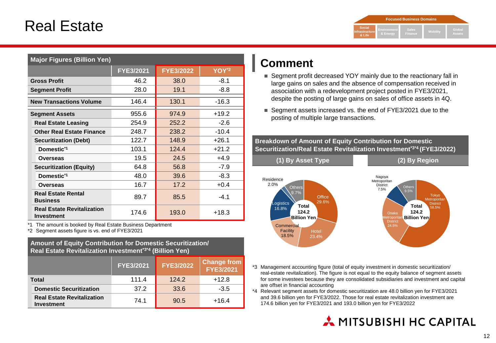## Real Estate

|                                           |                                | <b>Focused Business Domains</b> |                 |                         |
|-------------------------------------------|--------------------------------|---------------------------------|-----------------|-------------------------|
| <b>Social</b><br>Infrastructure<br>& Life | <b>Environment</b><br>& Energy | <b>Sales</b><br>Finance         | <b>Mobility</b> | Global<br><b>Assets</b> |

| <b>Major Figures (Billion Yen)</b>              |           |                  |                   |
|-------------------------------------------------|-----------|------------------|-------------------|
|                                                 | FYE3/2021 | <b>FYE3/2022</b> | YOY <sup>*2</sup> |
| <b>Gross Profit</b>                             | 46.2      | 38.0             | $-8.1$            |
| <b>Segment Profit</b>                           | 28.0      | 19.1             | $-8.8$            |
| <b>New Transactions Volume</b>                  | 146.4     | 130.1            | $-16.3$           |
| <b>Segment Assets</b>                           | 955.6     | 974.9            | $+19.2$           |
| <b>Real Estate Leasing</b>                      | 254.9     | 252.2            | $-2.6$            |
| <b>Other Real Estate Finance</b>                | 248.7     | 238.2            | $-10.4$           |
| <b>Securitization (Debt)</b>                    | 122.7     | 148.9            | $+26.1$           |
| Domestic <sup>*1</sup>                          | 103.1     | 124.4            | $+21.2$           |
| Overseas                                        | 19.5      | 24.5             | $+4.9$            |
| <b>Securitization (Equity)</b>                  | 64.8      | 56.8             | $-7.9$            |
| Domestic <sup>*1</sup>                          | 48.0      | 39.6             | $-8.3$            |
| Overseas                                        | 16.7      | 17.2             | $+0.4$            |
| <b>Real Estate Rental</b><br><b>Business</b>    | 89.7      | 85.5             | $-4.1$            |
| <b>Real Estate Revitalization</b><br>Investment | 174.6     | 193.0            | $+18.3$           |

\*1 The amount is booked by Real Estate Business Department

\*2 Segment assets figure is vs. end of FYE3/2021

#### **Amount of Equity Contribution for Domestic Securitization/ Real Estate Revitalization Investment\*3\*4 (Billion Yen)**

|                                                        | <b>FYE3/2021</b> | <b>FYE3/2022</b> | <b>Change from</b><br>FYE3/2021 |
|--------------------------------------------------------|------------------|------------------|---------------------------------|
| <b>Total</b>                                           | 111.4            | 124.2            | $+12.8$                         |
| <b>Domestic Securitization</b>                         | 37.2             | 33.6             | $-3.5$                          |
| <b>Real Estate Revitalization</b><br><b>Investment</b> | 74.1             | 90.5             | $+16.4$                         |

#### **Comment**

- Segment profit decreased YOY mainly due to the reactionary fall in large gains on sales and the absence of compensation received in association with a redevelopment project posted in FYE3/2021, despite the posting of large gains on sales of office assets in 4Q.
- Segment assets increased vs. the end of FYE3/2021 due to the posting of multiple large transactions.

#### **Breakdown of Amount of Equity Contribution for Domestic Securitization/Real Estate Revitalization Investment\*3\*4 (FYE3/2022)**



- \*3 Management accounting figure (total of equity investment in domestic securitization/ real-estate revitalization). The figure is not equal to the equity balance of segment assets for some investees because they are consolidated subsidiaries and investment and capital are offset in financial accounting
- \*4 Relevant segment assets for domestic securitization are 48.0 billion yen for FYE3/2021 and 39.6 billion yen for FYE3/2022. Those for real estate revitalization investment are 174.6 billion yen for FYE3/2021 and 193.0 billion yen for FYE3/2022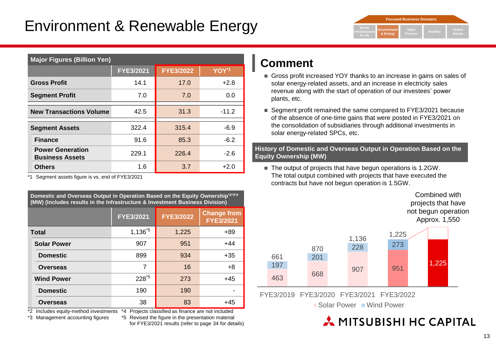## Environment & Renewable Energy



| <b>Major Figures (Billion Yen)</b>                |                  |                  |         |  |
|---------------------------------------------------|------------------|------------------|---------|--|
|                                                   | <b>FYE3/2021</b> | <b>FYE3/2022</b> | YOY*1   |  |
| <b>Gross Profit</b>                               | 14.1             | 17.0             | $+2.8$  |  |
| <b>Segment Profit</b>                             | 7.0              | 7.0              | 0.0     |  |
| 42.5<br><b>New Transactions Volume</b>            |                  | 31.3             | $-11.2$ |  |
| <b>Segment Assets</b>                             | 322.4            | 315.4            | $-6.9$  |  |
| <b>Finance</b>                                    | 91.6             | 85.3             | $-6.2$  |  |
| <b>Power Generation</b><br><b>Business Assets</b> | 229.1            | 226.4            | $-2.6$  |  |
| <b>Others</b>                                     | 1.6              | 3.7              | $+2.0$  |  |

\*1 Segment assets figure is vs. end of FYE3/2021

**Domestic and Overseas Output in Operation Based on the Equity Ownership\*2\*3\*4 (MW) (Includes results in the Infrastructure & Investment Business Division)**

|                    | <b>FYE3/2021</b> | <b>FYE3/2022</b> | <b>Change from</b><br><b>FYE3/2021</b> |
|--------------------|------------------|------------------|----------------------------------------|
| <b>Total</b>       | $1,136^{5}$      | 1,225            | +89                                    |
| <b>Solar Power</b> | 907              | 951              | $+44$                                  |
| <b>Domestic</b>    | 899              | 934              | $+35$                                  |
| <b>Overseas</b>    | 7                | 16               | $+8$                                   |
| <b>Wind Power</b>  | $228^{5}$        | 273              | $+45$                                  |
| <b>Domestic</b>    | 190              | 190              |                                        |
| <b>Overseas</b>    | 38               | 83               | $+45$                                  |

\*2 Includes equity-method investments \*4 Projects classified as finance are not included

\*3 Management accounting figures

\*5 Revised the figure in the presentation material for FYE3/2021 results (refer to page 34 for details)

#### **Comment**

- Gross profit increased YOY thanks to an increase in gains on sales of solar energy-related assets, and an increase in electricity sales revenue along with the start of operation of our investees' power plants, etc.
- Segment profit remained the same compared to FYE3/2021 because of the absence of one-time gains that were posted in FYE3/2021 on the consolidation of subsidiaries through additional investments in solar energy-related SPCs, etc.

**History of Domestic and Overseas Output in Operation Based on the Equity Ownership (MW)**

■ The output of projects that have begun operations is 1.2GW. The total output combined with projects that have executed the contracts but have not begun operation is 1.5GW.



FYE3/2019 FYE3/2020 FYE3/2021 FYE3/2022

■ Solar Power ■ Wind Power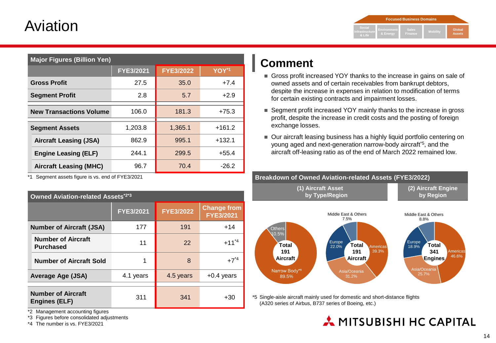## Aviation

|                                    |                                | <b>Focused Business Domains</b> |                 |                         |
|------------------------------------|--------------------------------|---------------------------------|-----------------|-------------------------|
| Social<br>Infrastructure<br>& Life | <b>Environment</b><br>& Energy | <b>Sales</b><br>Finance         | <b>Mobility</b> | Global<br><b>Assets</b> |

| <b>Major Figures (Billion Yen)</b> |                  |                  |          |  |  |  |  |
|------------------------------------|------------------|------------------|----------|--|--|--|--|
|                                    | <b>FYE3/2021</b> | <b>FYE3/2022</b> | YOY*1    |  |  |  |  |
| <b>Gross Profit</b>                | 27.5             | 35.0             | $+7.4$   |  |  |  |  |
| <b>Segment Profit</b>              | 2.8              | 5.7              | $+2.9$   |  |  |  |  |
| <b>New Transactions Volume</b>     | 106.0            | 181.3            | $+75.3$  |  |  |  |  |
| <b>Segment Assets</b>              | 1.203.8          | 1,365.1          | $+161.2$ |  |  |  |  |
| <b>Aircraft Leasing (JSA)</b>      | 862.9            | 995.1            | $+132.1$ |  |  |  |  |
| <b>Engine Leasing (ELF)</b>        | 244.1            | 299.5            | $+55.4$  |  |  |  |  |
| <b>Aircraft Leasing (MHC)</b>      | 96.7             | 70.4             | $-26.2$  |  |  |  |  |

\*1 Segment assets figure is vs. end of FYE3/2021

| <b>Owned Aviation-related Assets*2*3</b>          |                                      |           |                                        |  |  |  |  |
|---------------------------------------------------|--------------------------------------|-----------|----------------------------------------|--|--|--|--|
|                                                   | <b>FYE3/2022</b><br><b>FYE3/2021</b> |           | <b>Change from</b><br><b>FYE3/2021</b> |  |  |  |  |
| <b>Number of Aircraft (JSA)</b>                   | 177                                  | 191       | $+14$                                  |  |  |  |  |
| <b>Number of Aircraft</b><br><b>Purchased</b>     | 11                                   | 22        | $+11^{4}$                              |  |  |  |  |
| <b>Number of Aircraft Sold</b>                    | 1                                    | 8         | $+7^{*4}$                              |  |  |  |  |
| <b>Average Age (JSA)</b>                          | 4.1 years                            | 4.5 years | $+0.4$ years                           |  |  |  |  |
|                                                   |                                      |           |                                        |  |  |  |  |
| <b>Number of Aircraft</b><br><b>Engines (ELF)</b> | 311                                  | 341       | +30                                    |  |  |  |  |

**Comment**

- Gross profit increased YOY thanks to the increase in gains on sale of owned assets and of certain receivables from bankrupt debtors, despite the increase in expenses in relation to modification of terms for certain existing contracts and impairment losses.
- Segment profit increased YOY mainly thanks to the increase in gross profit, despite the increase in credit costs and the posting of foreign exchange losses.
- Our aircraft leasing business has a highly liquid portfolio centering on young aged and next-generation narrow-body aircraft\*5 , and the aircraft off-leasing ratio as of the end of March 2022 remained low.



MITSUBISHI HC CAPITAL

\*5 Single-aisle aircraft mainly used for domestic and short-distance flights (A320 series of Airbus, B737 series of Boeing, etc.)

\*2 Management accounting figures

\*3 Figures before consolidated adjustments

\*4 The number is vs. FYE3/2021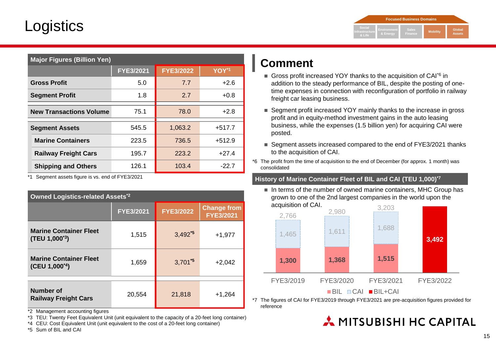## **Logistics**

|                                           | <b>Focused Business Domains</b> |                         |                 |                         |
|-------------------------------------------|---------------------------------|-------------------------|-----------------|-------------------------|
| Social<br><b>Infrastructure</b><br>& Life | <b>Environment</b><br>& Energy  | <b>Sales</b><br>Finance | <b>Mobility</b> | Global<br><b>Assets</b> |

| <b>Major Figures (Billion Yen)</b> |           |                  |          |  |  |  |  |
|------------------------------------|-----------|------------------|----------|--|--|--|--|
|                                    | FYE3/2021 | <b>FYE3/2022</b> | YOY*1    |  |  |  |  |
| <b>Gross Profit</b>                | 5.0       | 7.7              | $+2.6$   |  |  |  |  |
| <b>Segment Profit</b>              | 1.8       | 2.7              | $+0.8$   |  |  |  |  |
| <b>New Transactions Volume</b>     | 75.1      | 78.0             | $+2.8$   |  |  |  |  |
| <b>Segment Assets</b>              | 545.5     | 1,063.2          | $+517.7$ |  |  |  |  |
| <b>Marine Containers</b>           | 223.5     | 736.5            | $+512.9$ |  |  |  |  |
| <b>Railway Freight Cars</b>        | 195.7     | 223.2            | $+27.4$  |  |  |  |  |
| <b>Shipping and Others</b>         | 126.1     | 103.4            | $-22.7$  |  |  |  |  |

\*1 Segment assets figure is vs. end of FYE3/2021

| <b>Owned Logistics-related Assets*2</b>                     |                  |                                        |          |  |  |  |  |
|-------------------------------------------------------------|------------------|----------------------------------------|----------|--|--|--|--|
|                                                             | <b>FYE3/2021</b> | <b>Change from</b><br><b>FYE3/2021</b> |          |  |  |  |  |
| <b>Marine Container Fleet</b><br>$(TEU 1,000^{3})$          | 1,515            | $3,492^{5}$                            | $+1,977$ |  |  |  |  |
| <b>Marine Container Fleet</b><br>(CEU 1,000 <sup>*4</sup> ) | 1,659            | $3,701^{5}$                            | $+2,042$ |  |  |  |  |
| Number of<br><b>Railway Freight Cars</b>                    | 20,554           | 21,818                                 | $+1,264$ |  |  |  |  |

\*2 Management accounting figures

\*3 TEU: Twenty Feet Equivalent Unit (unit equivalent to the capacity of a 20-feet long container)

\*4 CEU: Cost Equivalent Unit (unit equivalent to the cost of a 20-feet long container)

#### **Comment**

- Gross profit increased YOY thanks to the acquisition of CAI<sup>+6</sup> in addition to the steady performance of BIL, despite the posting of onetime expenses in connection with reconfiguration of portfolio in railway freight car leasing business.
- Segment profit increased YOY mainly thanks to the increase in gross profit and in equity-method investment gains in the auto leasing business, while the expenses (1.5 billion yen) for acquiring CAI were posted.
- Segment assets increased compared to the end of FYE3/2021 thanks to the acquisition of CAI.
- \*6 The profit from the time of acquisition to the end of December (for approx. 1 month) was consolidated

#### **History of Marine Container Fleet of BIL and CAI (TEU 1,000) \*7**

 $\blacksquare$  In terms of the number of owned marine containers, MHC Group has grown to one of the 2nd largest companies in the world upon the acquisition of CAI.



\*7 The figures of CAI for FYE3/2019 through FYE3/2021 are pre-acquisition figures provided for reference

#### MITSUBISHI HC CAPITAL

\*5 Sum of BIL and CAI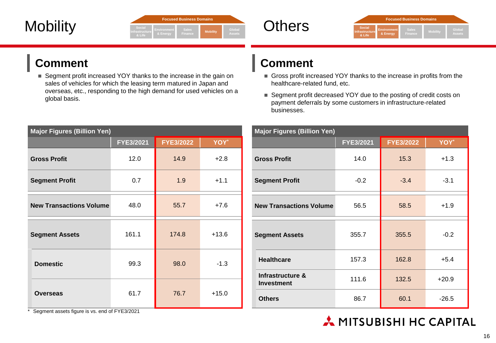|                 | <b>Focused Business Domains</b>                                                                       |        |
|-----------------|-------------------------------------------------------------------------------------------------------|--------|
| <b>Mobility</b> | <b>Social</b><br>Global<br><b>Sales</b><br><b>Mobility</b><br>Assets<br>& Energy<br>Finance<br>& Life | Others |





#### **Comment**

■ Segment profit increased YOY thanks to the increase in the gain on sales of vehicles for which the leasing term matured in Japan and overseas, etc., responding to the high demand for used vehicles on a global basis.

| <b>Major Figures (Billion Yen)</b>                                                                                   |                                                                                       |                  |         |  |  |  |  |  |
|----------------------------------------------------------------------------------------------------------------------|---------------------------------------------------------------------------------------|------------------|---------|--|--|--|--|--|
|                                                                                                                      | <b>FYE3/2021</b>                                                                      | <b>FYE3/2022</b> | YOY*    |  |  |  |  |  |
| <b>Gross Profit</b>                                                                                                  | 12.0                                                                                  | 14.9             | $+2.8$  |  |  |  |  |  |
| <b>Segment Profit</b>                                                                                                | 0.7                                                                                   | 1.9              | $+1.1$  |  |  |  |  |  |
| <b>New Transactions Volume</b>                                                                                       | 48.0                                                                                  | 55.7             | $+7.6$  |  |  |  |  |  |
| <b>Segment Assets</b>                                                                                                | 161.1                                                                                 | 174.8            | $+13.6$ |  |  |  |  |  |
| <b>Domestic</b>                                                                                                      | 99.3                                                                                  | 98.0             | $-1.3$  |  |  |  |  |  |
| <b>Overseas</b><br>the contract of the contract of the contract of the contract of the contract of<br>$\overline{a}$ | 61.7<br>$\mathbf{r}$ $\mathbf{r}$ $\mathbf{r}$ $\mathbf{r}$ $\mathbf{r}$ $\mathbf{r}$ | 76.7             | $+15.0$ |  |  |  |  |  |

#### **Comment**

- Gross profit increased YOY thanks to the increase in profits from the healthcare-related fund, etc.
- Segment profit decreased YOY due to the posting of credit costs on payment deferrals by some customers in infrastructure-related businesses.

| <b>Major Figures (Billion Yen)</b>    |           |                  |         |  |  |  |  |  |
|---------------------------------------|-----------|------------------|---------|--|--|--|--|--|
|                                       | FYE3/2021 | <b>FYE3/2022</b> | YOY*    |  |  |  |  |  |
| <b>Gross Profit</b>                   | 14.0      | 15.3             | $+1.3$  |  |  |  |  |  |
| <b>Segment Profit</b>                 | $-0.2$    | $-3.4$           | $-3.1$  |  |  |  |  |  |
| <b>New Transactions Volume</b>        | 56.5      | 58.5             | $+1.9$  |  |  |  |  |  |
| <b>Segment Assets</b>                 | 355.7     | 355.5            | $-0.2$  |  |  |  |  |  |
| <b>Healthcare</b>                     | 157.3     | 162.8            | $+5.4$  |  |  |  |  |  |
| Infrastructure &<br><b>Investment</b> | 111.6     | 132.5            | $+20.9$ |  |  |  |  |  |
| <b>Others</b>                         | 86.7      | 60.1             | $-26.5$ |  |  |  |  |  |

| * Segment assets figure is vs. end of FYE3/2021 |  |
|-------------------------------------------------|--|
|-------------------------------------------------|--|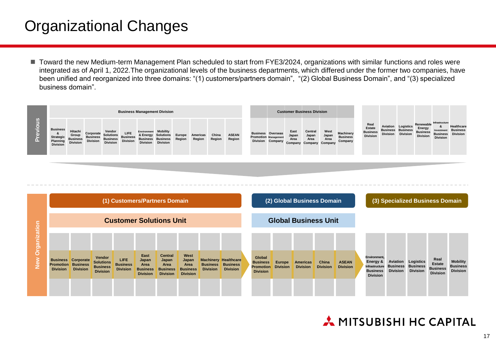## Organizational Changes

■ Toward the new Medium-term Management Plan scheduled to start from FYE3/2024, organizations with similar functions and roles were integrated as of April 1, 2022.The organizational levels of the business departments, which differed under the former two companies, have been unified and reorganized into three domains: "(1) customers/partners domain", "(2) Global Business Domain", and "(3) specialized business domain".

|                                                                    | <b>Business Management Division</b>                    |                                                 |                                                                  |                                            |             | <b>Customer Business Division</b>                                                                    |        |                    |                 |                        |  |                                                                             |                                  |                                                    |                       |                                         |                                                      |                 |                                                                          |                                                                          |                               |                                                           |
|--------------------------------------------------------------------|--------------------------------------------------------|-------------------------------------------------|------------------------------------------------------------------|--------------------------------------------|-------------|------------------------------------------------------------------------------------------------------|--------|--------------------|-----------------|------------------------|--|-----------------------------------------------------------------------------|----------------------------------|----------------------------------------------------|-----------------------|-----------------------------------------|------------------------------------------------------|-----------------|--------------------------------------------------------------------------|--------------------------------------------------------------------------|-------------------------------|-----------------------------------------------------------|
| <b>Business</b><br><b>Strategic</b><br>Planning<br><b>Division</b> | Hitachi<br>Group<br><b>Business</b><br><b>Division</b> | Corporate<br><b>Business</b><br><b>Division</b> | Vendor<br><b>Solutions</b><br><b>Business</b><br><b>Division</b> | LIFE<br><b>Business</b><br><b>Division</b> | Environment | <b>Mobility</b><br>& Energy Solutions<br><b>Business Business Region</b><br><b>Division Division</b> | Europe | Americas<br>Region | China<br>Region | <b>ASEAN</b><br>Region |  | <b>Business Overseas</b><br><b>Promotion Management</b><br>Division Company | East<br>Japan<br>Area<br>Company | Central<br>Japan<br>Area<br><b>Company Company</b> | West<br>Japan<br>Area | Machinery<br><b>Business</b><br>Company | Real<br>Estate<br><b>Business</b><br><b>Division</b> | <b>Division</b> | <b>Aviation</b> Logistics<br><b>Business Business</b><br><b>Division</b> | Renewable Infrastructure<br>Energy<br><b>Business</b><br><b>Division</b> | Investment<br><b>Division</b> | Healthcare<br><b>Business</b><br><b>Business Division</b> |

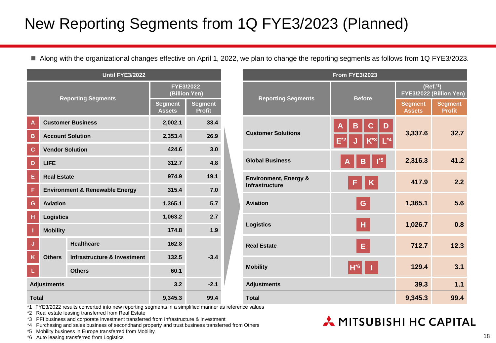## New Reporting Segments from 1Q FYE3/2023 (Planned)

Along with the organizational changes effective on April 1, 2022, we plan to change the reporting segments as follows from 1Q FYE3/2023.

| <b>Until FYE3/2022</b> |                        |                                           |                                 |                                 |  |  |
|------------------------|------------------------|-------------------------------------------|---------------------------------|---------------------------------|--|--|
|                        |                        | <b>Reporting Segments</b>                 | FYE3/2022<br>(Billion Yen)      |                                 |  |  |
|                        |                        |                                           | <b>Segment</b><br><b>Assets</b> | <b>Segment</b><br><b>Profit</b> |  |  |
| Α                      |                        | <b>Customer Business</b>                  | 2,002.1                         | 33.4                            |  |  |
| B                      |                        | <b>Account Solution</b>                   | 2,353.4                         | 26.9                            |  |  |
| C                      | <b>Vendor Solution</b> |                                           | 424.6                           | 3.0                             |  |  |
| D                      | LIFE                   |                                           | 312.7                           | 4.8                             |  |  |
| E                      | <b>Real Estate</b>     |                                           | 974.9<br>19.1                   |                                 |  |  |
| F                      |                        | <b>Environment &amp; Renewable Energy</b> | 315.4                           | 7.0                             |  |  |
| G                      | <b>Aviation</b>        |                                           | 1,365.1                         | 5.7                             |  |  |
| н                      | <b>Logistics</b>       |                                           | 1,063.2                         | 2.7                             |  |  |
| T                      | <b>Mobility</b>        |                                           | 174.8                           | 1.9                             |  |  |
| J                      |                        | <b>Healthcare</b>                         | 162.8                           |                                 |  |  |
| K                      | <b>Others</b>          | Infrastructure & Investment               | 132.5                           | $-3.4$                          |  |  |
| L                      |                        | <b>Others</b>                             | 60.1                            |                                 |  |  |
|                        | <b>Adjustments</b>     |                                           | 3.2                             | $-2.1$                          |  |  |
| <b>Total</b>           |                        | 9.345.3                                   | 99.4                            |                                 |  |  |

| <b>From FYE3/2023</b>                                     |                            |                                                 |                                 |  |  |  |  |  |  |
|-----------------------------------------------------------|----------------------------|-------------------------------------------------|---------------------------------|--|--|--|--|--|--|
|                                                           | <b>Before</b>              | (Ref. <sup>1</sup> )<br>FYE3/2022 (Billion Yen) |                                 |  |  |  |  |  |  |
| <b>Reporting Segments</b>                                 |                            | <b>Segment</b><br><b>Assets</b>                 | <b>Segment</b><br><b>Profit</b> |  |  |  |  |  |  |
| <b>Customer Solutions</b>                                 | B<br>D<br>Δ<br>$L^*$ 4     | 3,337.6                                         | 32.7                            |  |  |  |  |  |  |
| <b>Global Business</b>                                    | $\mathsf{I}^*$ 5<br>В<br>Α | 2,316.3                                         | 41.2                            |  |  |  |  |  |  |
| <b>Environment, Energy &amp;</b><br><b>Infrastructure</b> | K<br>F                     | 417.9                                           | 2.2                             |  |  |  |  |  |  |
| <b>Aviation</b>                                           | G                          | 1,365.1                                         | 5.6                             |  |  |  |  |  |  |
| <b>Logistics</b>                                          | H                          | 1,026.7                                         | 0.8                             |  |  |  |  |  |  |
| <b>Real Estate</b>                                        | Е                          | 712.7                                           | 12.3                            |  |  |  |  |  |  |
| <b>Mobility</b>                                           | $H*6$                      | 129.4                                           | 3.1                             |  |  |  |  |  |  |
| <b>Adjustments</b>                                        |                            | 39.3                                            | 1.1                             |  |  |  |  |  |  |
| <b>Total</b>                                              |                            | 9,345.3                                         | 99.4                            |  |  |  |  |  |  |

A MITSUBISHI HC CAPITAL

\*1 FYE3/2022 results converted into new reporting segments in a simplified manner as reference values

\*2 Real estate leasing transferred from Real Estate

\*3 PFI business and corporate investment transferred from Infrastructure & Investment

\*4 Purchasing and sales business of secondhand property and trust business transferred from Others

\*5 Mobility business in Europe transferred from Mobility

\*6 Auto leasing transferred from Logistics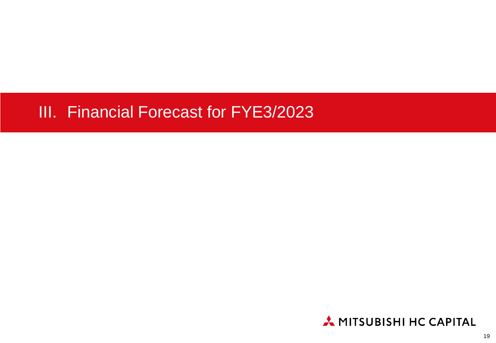## III. Financial Forecast for FYE3/2023

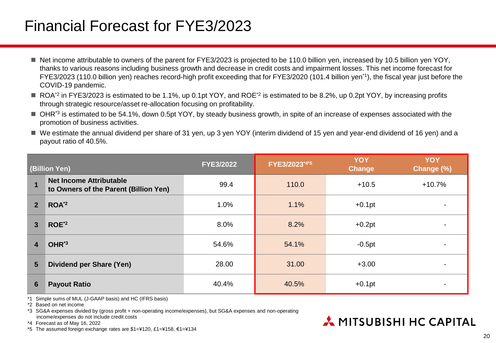## Financial Forecast for FYE3/2023

- Net income attributable to owners of the parent for FYE3/2023 is projected to be 110.0 billion yen, increased by 10.5 billion yen YOY, thanks to various reasons including business growth and decrease in credit costs and impairment losses. This net income forecast for FYE3/2023 (110.0 billion yen) reaches record-high profit exceeding that for FYE3/2020 (101.4 billion yen\*1), the fiscal year just before the COVID-19 pandemic.
- ROA<sup>\*2</sup> in FYE3/2023 is estimated to be 1.1%, up 0.1pt YOY, and ROE<sup>\*2</sup> is estimated to be 8.2%, up 0.2pt YOY, by increasing profits through strategic resource/asset re-allocation focusing on profitability.
- OHR<sup>\*3</sup> is estimated to be 54.1%, down 0.5pt YOY, by steady business growth, in spite of an increase of expenses associated with the promotion of business activities.
- We estimate the annual dividend per share of 31 yen, up 3 yen YOY (interim dividend of 15 yen and year-end dividend of 16 yen) and a payout ratio of 40.5%.

|                | (Billion Yen)                                                           | <b>FYE3/2022</b> | FYE3/2023*4*5 | <b>YOY</b><br><b>Change</b> | <b>YOY</b><br>Change (%) |
|----------------|-------------------------------------------------------------------------|------------------|---------------|-----------------------------|--------------------------|
| 1              | <b>Net Income Attributable</b><br>to Owners of the Parent (Billion Yen) | 99.4             | 110.0         | $+10.5$                     | $+10.7%$                 |
| $\overline{2}$ | ROA <sup>*2</sup>                                                       | 1.0%             | 1.1%          | $+0.1$ pt                   |                          |
| $\mathbf{3}$   | ROE <sup>*2</sup>                                                       | 8.0%             | 8.2%          | $+0.2pt$                    |                          |
| 4              | OHR <sup>*3</sup>                                                       | 54.6%            | 54.1%         | $-0.5pt$                    |                          |
| $5\phantom{1}$ | <b>Dividend per Share (Yen)</b>                                         | 28.00            | 31.00         | $+3.00$                     |                          |
| $6\phantom{1}$ | <b>Payout Ratio</b>                                                     | 40.4%            | 40.5%         | $+0.1$ pt                   |                          |

\*1 Simple sums of MUL (J-GAAP basis) and HC (IFRS basis)

\*2 Based on net income

\*3 SG&A expenses divided by (gross profit + non-operating income/expenses), but SG&A expenses and non-operating income/expenses do not include credit costs

\*4 Forecast as of May 16, 2022

\*5 The assumed foreign exchange rates are \$1=¥120, £1=¥158, €1=¥134

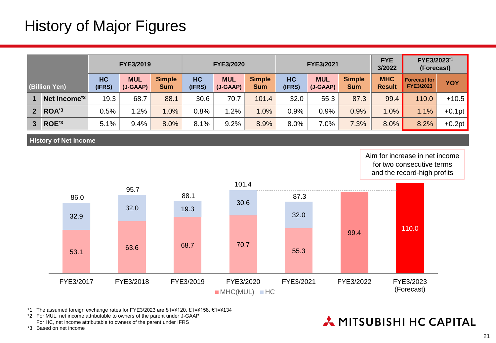## History of Major Figures

|                                     |                          |              | <b>FYE3/2019</b>         |                             |              | <b>FYE3/2020</b>       |                      | FYE3/2021           |                          |                             | <b>FYE</b><br>3/2022        | FYE3/2023*1<br>(Forecast)               |            |
|-------------------------------------|--------------------------|--------------|--------------------------|-----------------------------|--------------|------------------------|----------------------|---------------------|--------------------------|-----------------------------|-----------------------------|-----------------------------------------|------------|
| (Billion Yen)                       |                          | HC<br>(IFRS) | <b>MUL</b><br>$(J-GAAP)$ | <b>Simple</b><br><b>Sum</b> | HC<br>(IFRS) | <b>MUL</b><br>(J-GAAP) | <b>Simple</b><br>Sum | <b>HC</b><br>(IFRS) | <b>MUL</b><br>$(J-GAAP)$ | <b>Simple</b><br><b>Sum</b> | <b>MHC</b><br><b>Result</b> | <b>Forecast for</b><br><b>FYE3/2023</b> | <b>YOY</b> |
|                                     | Net Income <sup>*2</sup> | 19.3         | 68.7                     | 88.1                        | 30.6         | 70.7                   | 101.4                | 32.0                | 55.3                     | 87.3                        | 99.4                        | 110.0                                   | $+10.5$    |
| 2 <sup>1</sup>                      | ROA <sup>*3</sup>        | 0.5%         | $1.2\%$                  | .0%                         | 0.8%         | 1.2%                   | 1.0%                 | 0.9%                | 0.9%                     | 0.9%                        | 1.0%                        | 1.1%                                    | $+0.1pt$   |
| ROE <sup>*3</sup><br>3 <sup>1</sup> |                          | 5.1%         | 9.4%                     | 8.0%                        | 8.1%         | 9.2%                   | 8.9%                 | 8.0%                | 7.0%                     | 7.3%                        | 8.0%                        | 8.2%                                    | $+0.2pt$   |

**History of Net Income**

Aim for increase in net income for two consecutive terms and the record-high profits



\*1 The assumed foreign exchange rates for FYE3/2023 are \$1=¥120, £1=¥158, €1=¥134

\*2 For MUL, net income attributable to owners of the parent under J-GAAP For HC, net income attributable to owners of the parent under IFRS

\*3 Based on net income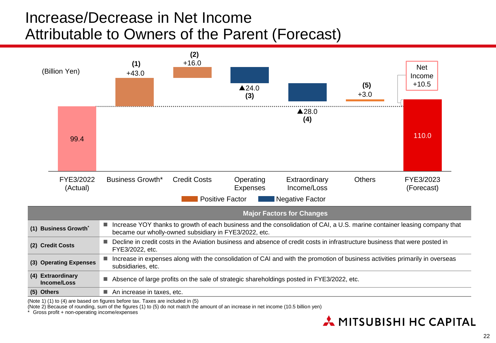## Increase/Decrease in Net Income Attributable to Owners of the Parent (Forecast)



(Note 1) (1) to (4) are based on figures before tax. Taxes are included in (5)

(Note 2) Because of rounding, sum of the figures (1) to (5) do not match the amount of an increase in net income (10.5 billion yen)

Gross profit + non-operating income/expenses

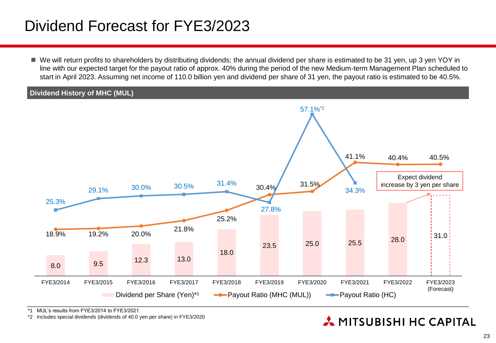## Dividend Forecast for FYE3/2023

 We will return profits to shareholders by distributing dividends; the annual dividend per share is estimated to be 31 yen, up 3 yen YOY in line with our expected target for the payout ratio of approx. 40% during the period of the new Medium-term Management Plan scheduled to start in April 2023. Assuming net income of 110.0 billion yen and dividend per share of 31 yen, the payout ratio is estimated to be 40.5%.

#### **Dividend History of MHC (MUL)**



\*1 MUL's results from FYE3/2014 to FYE3/2021

\*2 Includes special dividends (dividends of 40.0 yen per share) in FYE3/2020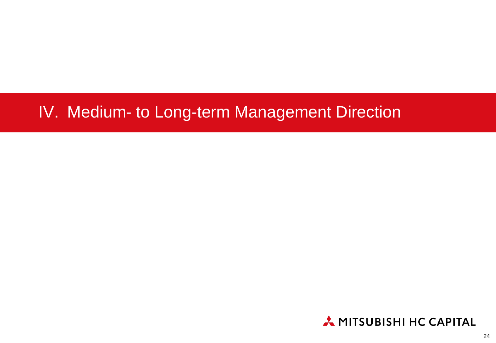## IV. Medium- to Long-term Management Direction

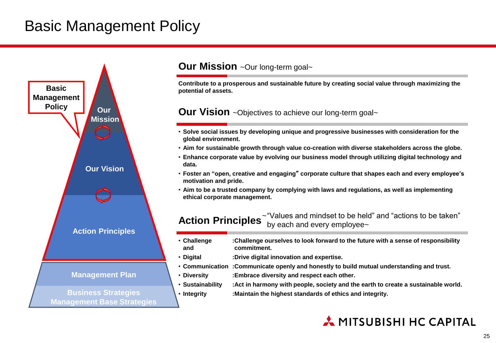## Basic Management Policy



#### **Our Mission** ~Our long-term goal~

**Contribute to a prosperous and sustainable future by creating social value through maximizing the potential of assets.**

**Our Vision** ~Objectives to achieve our long-term goal~

- **Solve social issues by developing unique and progressive businesses with consideration for the global environment.**
- **Aim for sustainable growth through value co-creation with diverse stakeholders across the globe.**
- **Enhance corporate value by evolving our business model through utilizing digital technology and data.**
- **Foster an "open, creative and engaging**" **corporate culture that shapes each and every employee's motivation and pride.**
- **Aim to be a trusted company by complying with laws and regulations, as well as implementing ethical corporate management.**

**Action Principles** <sup>- "Values and mindset to be held" and "actions to be taken"</sup> by each and every employee~

- **Challenge :Challenge ourselves to look forward to the future with a sense of responsibility and commitment.**
- **Digital :Drive digital innovation and expertise.**
- **Communication :Communicate openly and honestly to build mutual understanding and trust.**
- **Diversity :Embrace diversity and respect each other.**
- **Sustainability :Act in harmony with people, society and the earth to create a sustainable world.**
- **Integrity :Maintain the highest standards of ethics and integrity.**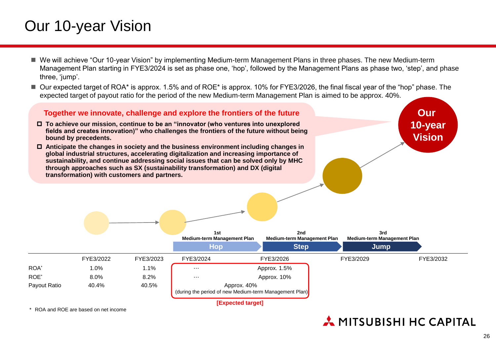## Our 10-year Vision

- We will achieve "Our 10-year Vision" by implementing Medium-term Management Plans in three phases. The new Medium-term Management Plan starting in FYE3/2024 is set as phase one, 'hop', followed by the Management Plans as phase two, 'step', and phase three, 'jump'.
- Our expected target of ROA<sup>\*</sup> is approx. 1.5% and of ROE<sup>\*</sup> is approx. 10% for FYE3/2026, the final fiscal year of the "hop" phase. The expected target of payout ratio for the period of the new Medium-term Management Plan is aimed to be approx. 40%.

**Together we innovate, challenge and explore the frontiers of the future To achieve our mission, continue to be an "innovator (who ventures into unexplored** 



\* ROA and ROE are based on net income

#### A MITSUBISHI HC CAPITAL

**Our 10-year**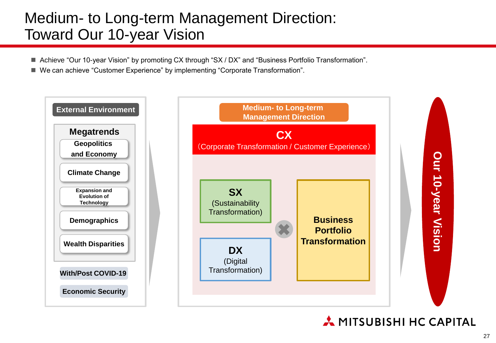## Medium- to Long-term Management Direction: Toward Our 10-year Vision

- Achieve "Our 10-year Vision" by promoting CX through "SX / DX" and "Business Portfolio Transformation".
- We can achieve "Customer Experience" by implementing "Corporate Transformation".

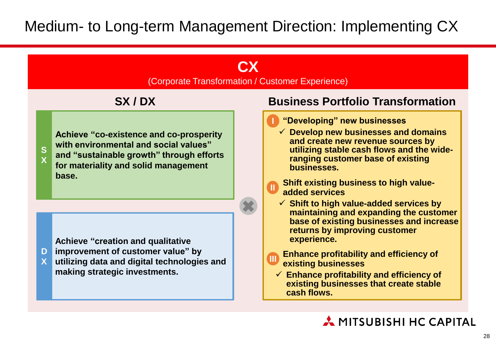#### **CX**

(Corporate Transformation / Customer Experience)

#### **SX / DX**



**Achieve "co-existence and co-prosperity with environmental and social values" and "sustainable growth" through efforts for materiality and solid management base.**

**Achieve "creation and qualitative** 

- **improvement of customer value" by D**
- **utilizing data and digital technologies and making strategic investments. X**

#### **Business Portfolio Transformation**

- **I "Developing" new businesses**
	- **Develop new businesses and domains and create new revenue sources by utilizing stable cash flows and the wideranging customer base of existing businesses.**
- **Shift existing business to high value**added services
- **Shift to high value-added services by maintaining and expanding the customer base of existing businesses and increase returns by improving customer experience.**
- **Enhance profitability and efficiency of existing businesses III**
	- **Enhance profitability and efficiency of existing businesses that create stable cash flows.**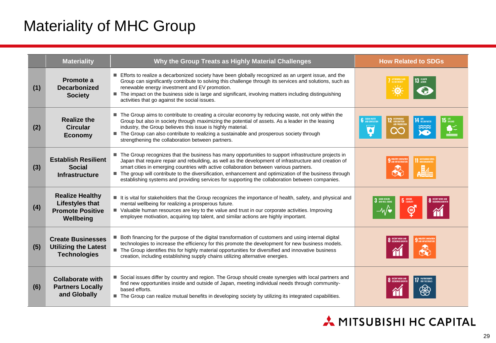## Materiality of MHC Group

|     | <b>Materiality</b>                                                                       | Why the Group Treats as Highly Material Challenges                                                                                                                                                                                                                                                                                                                                                                                                                                                                   | <b>How Related to SDGs</b>             |
|-----|------------------------------------------------------------------------------------------|----------------------------------------------------------------------------------------------------------------------------------------------------------------------------------------------------------------------------------------------------------------------------------------------------------------------------------------------------------------------------------------------------------------------------------------------------------------------------------------------------------------------|----------------------------------------|
| (1) | Promote a<br><b>Decarbonized</b><br><b>Society</b>                                       | Efforts to realize a decarbonized society have been globally recognized as an urgent issue, and the<br>Group can significantly contribute to solving this challenge through its services and solutions, such as<br>renewable energy investment and EV promotion.<br>■ The impact on the business side is large and significant, involving matters including distinguishing<br>activities that go against the social issues.                                                                                          | <u>(၂</u>                              |
| (2) | <b>Realize the</b><br><b>Circular</b><br><b>Economy</b>                                  | ■ The Group aims to contribute to creating a circular economy by reducing waste, not only within the<br>Group but also in society through maximizing the potential of assets. As a leader in the leasing<br>industry, the Group believes this issue is highly material.<br>The Group can also contribute to realizing a sustainable and prosperous society through<br>strengthening the collaboration between partners.                                                                                              | <b>6</b> CLEAN WATER                   |
| (3) | <b>Establish Resilient</b><br><b>Social</b><br><b>Infrastructure</b>                     | The Group recognizes that the business has many opportunities to support infrastructure projects in<br>Japan that require repair and rebuilding, as well as the development of infrastructure and creation of<br>smart cities in emerging countries with active collaboration between various partners.<br>The group will contribute to the diversification, enhancement and optimization of the business through<br>establishing systems and providing services for supporting the collaboration between companies. |                                        |
| (4) | <b>Realize Healthy</b><br><b>Lifestyles that</b><br><b>Promote Positive</b><br>Wellbeing | It is vital for stakeholders that the Group recognizes the importance of health, safety, and physical and<br>mental wellbeing for realizing a prosperous future.<br>■ Valuable human resources are key to the value and trust in our corporate activities. Improving<br>employee motivation, acquiring top talent, and similar actions are highly important.                                                                                                                                                         | 3 GOOD HEALTH<br>5 GENDER<br>⊜         |
| (5) | <b>Create Businesses</b><br><b>Utilizing the Latest</b><br><b>Technologies</b>           | Both financing for the purpose of the digital transformation of customers and using internal digital<br>technologies to increase the efficiency for this promote the development for new business models.<br>The Group identifies this for highly material opportunities for diversified and innovative business<br>creation, including establishing supply chains utilizing alternative energies.                                                                                                                   |                                        |
| (6) | <b>Collaborate with</b><br><b>Partners Locally</b><br>and Globally                       | Social issues differ by country and region. The Group should create synergies with local partners and<br>find new opportunities inside and outside of Japan, meeting individual needs through community-<br>based efforts.<br>The Group can realize mutual benefits in developing society by utilizing its integrated capabilities.                                                                                                                                                                                  | FOR THE GOALS<br><b>O</b> ECONOMIC GRO |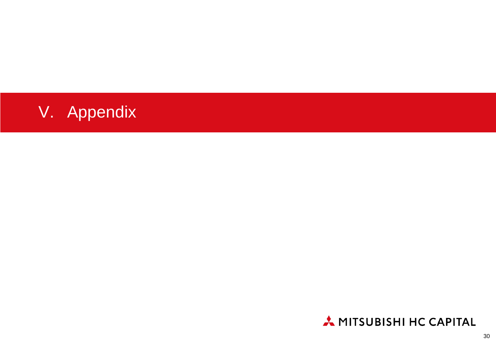

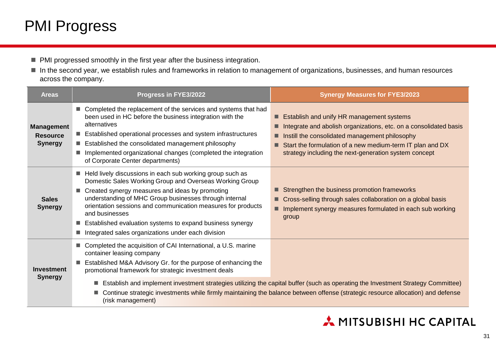## PMI Progress

- PMI progressed smoothly in the first year after the business integration.
- In the second year, we establish rules and frameworks in relation to management of organizations, businesses, and human resources across the company.

| <b>Areas</b>                                           | Progress in FYE3/2022                                                                                                                                                                                                                                                                                                                                                                                                                  | <b>Synergy Measures for FYE3/2023</b>                                                                                                                                                                                                                                                  |  |  |  |  |  |
|--------------------------------------------------------|----------------------------------------------------------------------------------------------------------------------------------------------------------------------------------------------------------------------------------------------------------------------------------------------------------------------------------------------------------------------------------------------------------------------------------------|----------------------------------------------------------------------------------------------------------------------------------------------------------------------------------------------------------------------------------------------------------------------------------------|--|--|--|--|--|
| <b>Management</b><br><b>Resource</b><br><b>Synergy</b> | ■ Completed the replacement of the services and systems that had<br>been used in HC before the business integration with the<br>alternatives<br>Established operational processes and system infrastructures<br>■ Established the consolidated management philosophy<br>Implemented organizational changes (completed the integration<br>of Corporate Center departments)                                                              | Establish and unify HR management systems<br>Integrate and abolish organizations, etc. on a consolidated basis<br>Instill the consolidated management philosophy<br>Start the formulation of a new medium-term IT plan and DX<br>strategy including the next-generation system concept |  |  |  |  |  |
| <b>Sales</b><br><b>Synergy</b>                         | Held lively discussions in each sub working group such as<br>Domestic Sales Working Group and Overseas Working Group<br>Created synergy measures and ideas by promoting<br>understanding of MHC Group businesses through internal<br>orientation sessions and communication measures for products<br>and businesses<br>Established evaluation systems to expand business synergy<br>Integrated sales organizations under each division | Strengthen the business promotion frameworks<br>Cross-selling through sales collaboration on a global basis<br>Implement synergy measures formulated in each sub working<br>■<br>group                                                                                                 |  |  |  |  |  |
| <b>Investment</b><br><b>Synergy</b>                    | Completed the acquisition of CAI International, a U.S. marine<br>container leasing company<br>Established M&A Advisory Gr. for the purpose of enhancing the<br>promotional framework for strategic investment deals<br>Establish and implement investment strategies utilizing the capital buffer (such as operating the Investment Strategy Committee)<br>п                                                                           |                                                                                                                                                                                                                                                                                        |  |  |  |  |  |
|                                                        | п<br>(risk management)                                                                                                                                                                                                                                                                                                                                                                                                                 | Continue strategic investments while firmly maintaining the balance between offense (strategic resource allocation) and defense                                                                                                                                                        |  |  |  |  |  |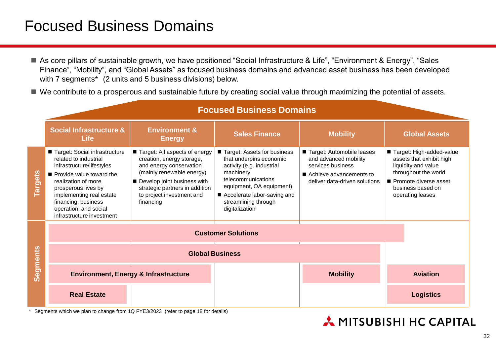## Focused Business Domains

- As core pillars of sustainable growth, we have positioned "Social Infrastructure & Life", "Environment & Energy", "Sales Finance", "Mobility", and "Global Assets" as focused business domains and advanced asset business has been developed with 7 segments\* (2 units and 5 business divisions) below.
- We contribute to a prosperous and sustainable future by creating social value through maximizing the potential of assets.

|                |                                                                                                                                                                                                                                                                        |                                                                                                                                                                                                                               | <b>Focused Business Domains</b>                                                                                                                                                                                                |                                                                                                                                       |                                                                                                                                                                       |
|----------------|------------------------------------------------------------------------------------------------------------------------------------------------------------------------------------------------------------------------------------------------------------------------|-------------------------------------------------------------------------------------------------------------------------------------------------------------------------------------------------------------------------------|--------------------------------------------------------------------------------------------------------------------------------------------------------------------------------------------------------------------------------|---------------------------------------------------------------------------------------------------------------------------------------|-----------------------------------------------------------------------------------------------------------------------------------------------------------------------|
|                | <b>Social Infrastructure &amp;</b><br><b>Life</b>                                                                                                                                                                                                                      | <b>Environment &amp;</b><br><b>Energy</b>                                                                                                                                                                                     | <b>Sales Finance</b>                                                                                                                                                                                                           | <b>Mobility</b>                                                                                                                       | <b>Global Assets</b>                                                                                                                                                  |
| <b>Targets</b> | Target: Social infrastructure<br>related to industrial<br>infrastructure/lifestyles<br>Provide value toward the<br>realization of more<br>prosperous lives by<br>implementing real estate<br>financing, business<br>operation, and social<br>infrastructure investment | Target: All aspects of energy<br>creation, energy storage,<br>and energy conservation<br>(mainly renewable energy)<br>Develop joint business with<br>strategic partners in addition<br>to project investment and<br>financing | Target: Assets for business<br>that underpins economic<br>activity (e.g. industrial<br>machinery,<br>telecommunications<br>equipment, OA equipment)<br>■ Accelerate labor-saving and<br>streamlining through<br>digitalization | Target: Automobile leases<br>and advanced mobility<br>services business<br>■ Achieve advancements to<br>deliver data-driven solutions | Target: High-added-value<br>assets that exhibit high<br>liquidity and value<br>throughout the world<br>Promote diverse asset<br>business based on<br>operating leases |
|                |                                                                                                                                                                                                                                                                        |                                                                                                                                                                                                                               | <b>Customer Solutions</b>                                                                                                                                                                                                      |                                                                                                                                       |                                                                                                                                                                       |
|                |                                                                                                                                                                                                                                                                        |                                                                                                                                                                                                                               |                                                                                                                                                                                                                                |                                                                                                                                       |                                                                                                                                                                       |
| Segments       |                                                                                                                                                                                                                                                                        | <b>Environment, Energy &amp; Infrastructure</b>                                                                                                                                                                               |                                                                                                                                                                                                                                | <b>Mobility</b>                                                                                                                       | <b>Aviation</b>                                                                                                                                                       |
|                | <b>Real Estate</b>                                                                                                                                                                                                                                                     |                                                                                                                                                                                                                               |                                                                                                                                                                                                                                |                                                                                                                                       | <b>Logistics</b>                                                                                                                                                      |

Segments which we plan to change from 1Q FYE3/2023 (refer to page 18 for details)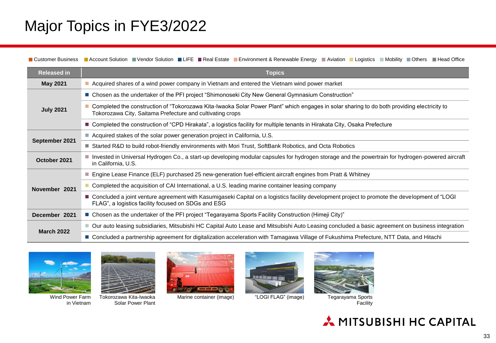## Major Topics in FYE3/2022

**D** Customer Business **A** Account Solution Vendor Solution LIFE Real Estate Environment & Renewable Energy Aviation Logistics Mobility Others Head Office

| <b>Released in</b> | <b>Topics</b>                                                                                                                                                                                            |
|--------------------|----------------------------------------------------------------------------------------------------------------------------------------------------------------------------------------------------------|
| <b>May 2021</b>    | Acquired shares of a wind power company in Vietnam and entered the Vietnam wind power market                                                                                                             |
|                    | ■ Chosen as the undertaker of the PFI project "Shimonoseki City New General Gymnasium Construction"                                                                                                      |
| <b>July 2021</b>   | Completed the construction of "Tokorozawa Kita-Iwaoka Solar Power Plant" which engages in solar sharing to do both providing electricity to<br>Tokorozawa City, Saitama Prefecture and cultivating crops |
|                    | ■ Completed the construction of "CPD Hirakata", a logistics facility for multiple tenants in Hirakata City, Osaka Prefecture                                                                             |
|                    | ■ Acquired stakes of the solar power generation project in California, U.S.                                                                                                                              |
| September 2021     | ■ Started R&D to build robot-friendly environments with Mori Trust, SoftBank Robotics, and Octa Robotics                                                                                                 |
| October 2021       | Invested in Universal Hydrogen Co., a start-up developing modular capsules for hydrogen storage and the powertrain for hydrogen-powered aircraft<br>in California, U.S.                                  |
|                    | ■ Engine Lease Finance (ELF) purchased 25 new-generation fuel-efficient aircraft engines from Pratt & Whitney                                                                                            |
| November 2021      | Completed the acquisition of CAI International, a U.S. leading marine container leasing company                                                                                                          |
|                    | ■ Concluded a joint venture agreement with Kasumigaseki Capital on a logistics facility development project to promote the development of "LOGI<br>FLAG", a logistics facility focused on SDGs and ESG   |
| December 2021      | ■ Chosen as the undertaker of the PFI project "Tegarayama Sports Facility Construction (Himeji City)"                                                                                                    |
|                    | ■ Our auto leasing subsidiaries, Mitsubishi HC Capital Auto Lease and Mitsubishi Auto Leasing concluded a basic agreement on business integration                                                        |
| <b>March 2022</b>  | ■ Concluded a partnership agreement for digitalization acceleration with Tamagawa Village of Fukushima Prefecture, NTT Data, and Hitachi                                                                 |



Wind Power Farm in Vietnam



Tokorozawa Kita-Iwaoka Solar Power Plant



Marine container (image) "LOGI FLAG" (image)





Tegarayama Sports<br>Facility

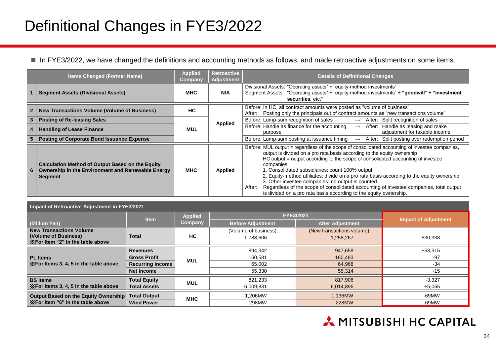## Definitional Changes in FYE3/2022

In FYE3/2022, we have changed the definitions and accounting methods as follows, and made retroactive adjustments on some items.

|              | <b>Items Changed (Former Name)</b>                                                                                             | <b>Applied</b><br><b>Company</b> | Retroactive<br>Adjustment | <b>Details of Definitional Changes</b>                                                                                                                                                                                                                                                                                                                                                                                                                                                                                                                                                                                                                   |
|--------------|--------------------------------------------------------------------------------------------------------------------------------|----------------------------------|---------------------------|----------------------------------------------------------------------------------------------------------------------------------------------------------------------------------------------------------------------------------------------------------------------------------------------------------------------------------------------------------------------------------------------------------------------------------------------------------------------------------------------------------------------------------------------------------------------------------------------------------------------------------------------------------|
|              | <b>Segment Assets (Divisional Assets)</b>                                                                                      | <b>MHC</b>                       | N/A                       | Divisional Assets: "Operating assets" + "equity-method investments"<br>Segment Assets: "Operating assets" + "equity-method investments" + "goodwill" + "investment<br>securities, etc."                                                                                                                                                                                                                                                                                                                                                                                                                                                                  |
| $\mathbf{2}$ | <b>New Transactions Volume (Volume of Business)</b>                                                                            | НC                               |                           | Before: In HC, all contract amounts were posted as "volume of business"<br>Posting only the principals out of contract amounts as "new transactions volume"<br>After:                                                                                                                                                                                                                                                                                                                                                                                                                                                                                    |
| 3            | <b>Posting of Re-leasing Sales</b>                                                                                             |                                  |                           | Before: Lump-sum recognition of sales<br>$\rightarrow$ After: Split recognition of sales                                                                                                                                                                                                                                                                                                                                                                                                                                                                                                                                                                 |
| 4            | <b>Handling of Lease Finance</b>                                                                                               | <b>MUL</b>                       | Applied                   | Before: Handle as finance for the accounting<br>After: Handle as leasing and make<br>$\rightarrow$<br>adjustment for taxable income<br>purpose                                                                                                                                                                                                                                                                                                                                                                                                                                                                                                           |
| 5            | <b>Posting of Corporate Bond Issuance Expense</b>                                                                              |                                  |                           | Before: Lump-sum posting at issuance timing<br>After: Split posting over redemption period<br>$\rightarrow$                                                                                                                                                                                                                                                                                                                                                                                                                                                                                                                                              |
| 6            | <b>Calculation Method of Output Based on the Equity</b><br>Ownership in the Environment and Renewable Energy<br><b>Segment</b> | <b>MHC</b>                       | Applied                   | Before: MUL output = regardless of the scope of consolidated accounting of investee companies,<br>output is divided on a pro rata basis according to the equity ownership<br>HC output = output according to the scope of consolidated accounting of investee<br>companies<br>1. Consolidated subsidiaries: count 100% output<br>2. Equity-method affiliates: divide on a pro rata basis according to the equity ownership<br>3. Other investee companies: no output is counted<br>Regardless of the scope of consolidated accounting of investee companies, total output<br>After:<br>is divided on a pro rata basis according to the equity ownership. |

| Impact of Retroactive Adjustment in FYE3/2021            |                         |                |                          |                             |            |  |  |  |
|----------------------------------------------------------|-------------------------|----------------|--------------------------|-----------------------------|------------|--|--|--|
|                                                          | <b>Item</b>             | <b>Applied</b> | FYE3/2021                | <b>Impact of Adjustment</b> |            |  |  |  |
| (Million Yen)                                            |                         | Company        | <b>Before Adjustment</b> | <b>After Adjustment</b>     |            |  |  |  |
| <b>New Transactions Volume</b>                           |                         |                | (Volume of business)     | (New transactions volume)   |            |  |  |  |
| (Volume of Business)<br>XFor Item "2" in the table above | Total                   | HC.            | 1.788.606                | 1.258.267                   | $-530.338$ |  |  |  |
|                                                          | <b>Revenues</b>         |                | 894.342                  | 947.658                     | $+53,315$  |  |  |  |
| <b>PL</b> Items                                          | <b>Gross Profit</b>     |                | 160.581                  | 160.483                     | $-97$      |  |  |  |
| X For Items 3, 4, 5 in the table above                   | <b>Recurring Income</b> | <b>MUL</b>     | 65,002                   | 64.968                      | $-34$      |  |  |  |
|                                                          | <b>Net Income</b>       |                | 55,330                   | 55,314                      | $-15$      |  |  |  |
| <b>BS</b> Items                                          | <b>Total Equity</b>     | <b>MUL</b>     | 821.233                  | 817,906                     | $-3.327$   |  |  |  |
| XFor Items 3, 4, 5 in the table above                    | <b>Total Assets</b>     |                | 6,009,831                | 6,014,896                   | $+5,065$   |  |  |  |
| Output Based on the Equity Ownership                     | <b>Total Output</b>     |                | 1.206MW                  | 1,136MW                     | $-69MW$    |  |  |  |
| XFor Item "6" in the table above                         | <b>Wind Power</b>       | <b>MHC</b>     | 298MW                    | 228MW                       | -69MW      |  |  |  |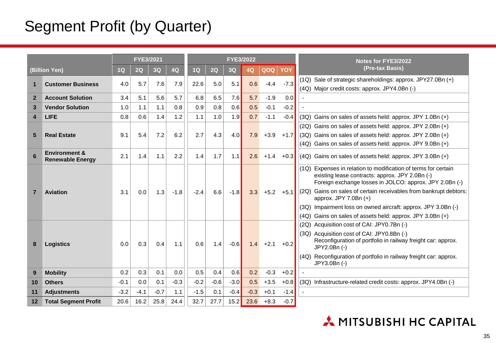## Segment Profit (by Quarter)

|                |                                                     |        | FYE3/2021 |        |        |        |        | <b>FYE3/2022</b> |        |        |        | <b>Notes for FYE3/2022</b>                                                                                                                                                                                                                                                                                                                                                                                        |
|----------------|-----------------------------------------------------|--------|-----------|--------|--------|--------|--------|------------------|--------|--------|--------|-------------------------------------------------------------------------------------------------------------------------------------------------------------------------------------------------------------------------------------------------------------------------------------------------------------------------------------------------------------------------------------------------------------------|
|                | (Billion Yen)                                       | 1Q     | 2Q        | 3Q     | 4Q     | 1Q     | 2Q     | 3Q               | 4Q     | QOQ    | YOY    | (Pre-tax Basis)                                                                                                                                                                                                                                                                                                                                                                                                   |
| 1              | <b>Customer Business</b>                            | 4.0    | 5.7       | 7.6    | 7.9    | 22.6   | 5.0    | 5.1              | 0.6    | $-4.4$ | $-7.3$ | (1Q) Sale of strategic shareholdings: approx. JPY27.0Bn (+)<br>(4Q) Major credit costs: approx. JPY4.0Bn (-)                                                                                                                                                                                                                                                                                                      |
| $\overline{2}$ | <b>Account Solution</b>                             | 3.4    | 5.1       | 5.6    | 5.7    | 6.8    | 6.5    | 7.6              | 5.7    | $-1.9$ | 0.0    |                                                                                                                                                                                                                                                                                                                                                                                                                   |
| 3              | <b>Vendor Solution</b>                              | 1.0    | 1.1       | 1.1    | 0.8    | 0.9    | 0.8    | 0.6              | 0.5    | $-0.1$ | $-0.2$ |                                                                                                                                                                                                                                                                                                                                                                                                                   |
| 4              | <b>LIFE</b>                                         | 0.8    | 0.6       | 1.4    | 1.2    | 1.1    | 1.0    | 1.9              | 0.7    | $-1.1$ | $-0.4$ | $(3Q)$ Gains on sales of assets held: approx. JPY 1.0Bn $(+)$                                                                                                                                                                                                                                                                                                                                                     |
| 5              | <b>Real Estate</b>                                  | 9.1    | 5.4       | 7.2    | 6.2    | 2.7    | 4.3    | 4.0              | 7.9    | $+3.9$ | $+1.7$ | (2Q) Gains on sales of assets held: approx. JPY 2.0Bn (+)<br>$(3Q)$ Gains on sales of assets held: approx. JPY 2.0Bn $(+)$<br>(4Q) Gains on sales of assets held: approx. JPY 9.0Bn (+)                                                                                                                                                                                                                           |
| 6              | <b>Environment &amp;</b><br><b>Renewable Energy</b> | 2.1    | 1.4       | 1.1    | 2.2    | 1.4    | 1.7    | 1.1              | 2.6    | $+1.4$ | $+0.3$ | (4Q) Gains on sales of assets held: approx. JPY 3.0Bn (+)                                                                                                                                                                                                                                                                                                                                                         |
| $\overline{7}$ | <b>Aviation</b>                                     | 3.1    | 0.0       | 1.3    | $-1.8$ | $-2.4$ | 6.6    | $-1.8$           | 3.3    | $+5.2$ | $+5.1$ | (1Q) Expenses in relation to modification of terms for certain<br>existing lease contracts: approx. JPY 2.0Bn (-)<br>Foreign exchange losses in JOLCO: approx. JPY 2.0Bn (-)<br>Gains on sales of certain receivables from bankrupt debtors:<br>(2Q)<br>approx. JPY 7.0Bn (+)<br>Impairment loss on owned aircraft: approx. JPY 3.0Bn (-)<br>(3Q)<br>Gains on sales of assets held: approx. JPY 3.0Bn (+)<br>(4Q) |
| 8              | <b>Logistics</b>                                    | 0.0    | 0.3       | 0.4    | 1.1    | 0.6    | 1.4    | $-0.6$           | 1.4    | $+2.1$ | $+0.2$ | (2Q) Acquisition cost of CAI: JPY0.7Bn (-)<br>(3Q) Acquisition cost of CAI: JPY0.8Bn (-)<br>Reconfiguration of portfolio in railway freight car: approx.<br>JPY2.0Bn (-)<br>Reconfiguration of portfolio in railway freight car: approx.<br>(4Q)<br>JPY3.0Bn (-)                                                                                                                                                  |
| 9              | <b>Mobility</b>                                     | 0.2    | 0.3       | 0.1    | 0.0    | 0.5    | 0.4    | 0.6              | 0.2    | $-0.3$ | $+0.2$ |                                                                                                                                                                                                                                                                                                                                                                                                                   |
| 10             | <b>Others</b>                                       | $-0.1$ | 0.0       | 0.1    | $-0.3$ | $-0.2$ | $-0.6$ | $-3.0$           | 0.5    | $+3.5$ | $+0.8$ | (3Q) Infrastructure-related credit costs: approx. JPY4.0Bn (-)                                                                                                                                                                                                                                                                                                                                                    |
| 11             | <b>Adjustments</b>                                  | $-3.2$ | $-4.1$    | $-0.7$ | 1.1    | $-1.5$ | 0.1    | $-0.4$           | $-0.3$ | $+0.1$ | $-1.4$ |                                                                                                                                                                                                                                                                                                                                                                                                                   |
| 12             | <b>Total Segment Profit</b>                         | 20.6   | 16.2      | 25.8   | 24.4   | 32.7   | 27.7   | 15.2             | 23.6   | $+8.3$ | $-0.7$ |                                                                                                                                                                                                                                                                                                                                                                                                                   |

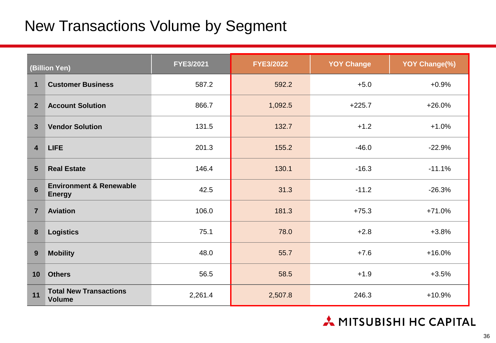## New Transactions Volume by Segment

| (Billion Yen)           |                                                     | FYE3/2021 | <b>FYE3/2022</b> | <b>YOY Change</b> | YOY Change(%) |
|-------------------------|-----------------------------------------------------|-----------|------------------|-------------------|---------------|
| 1                       | <b>Customer Business</b>                            | 587.2     | 592.2            | $+5.0$            | $+0.9%$       |
| 2 <sup>2</sup>          | <b>Account Solution</b>                             | 866.7     | 1,092.5          | $+225.7$          | $+26.0%$      |
| $\overline{\mathbf{3}}$ | <b>Vendor Solution</b>                              | 131.5     | 132.7            | $+1.2$            | $+1.0%$       |
| $\overline{\mathbf{4}}$ | <b>LIFE</b>                                         | 201.3     | 155.2            | $-46.0$           | $-22.9%$      |
| 5                       | <b>Real Estate</b><br>146.4                         |           | 130.1            | $-16.3$           | $-11.1%$      |
| $6\phantom{1}$          | <b>Environment &amp; Renewable</b><br><b>Energy</b> | 42.5      | 31.3             | $-11.2$           | $-26.3%$      |
| $\overline{7}$          | <b>Aviation</b>                                     | 106.0     | 181.3            | $+75.3$           | $+71.0%$      |
| 8                       | <b>Logistics</b>                                    | 75.1      | 78.0             | $+2.8$            | $+3.8%$       |
| 9                       | <b>Mobility</b>                                     | 48.0      | 55.7             | $+7.6$            | $+16.0%$      |
| 10                      | <b>Others</b>                                       | 56.5      | 58.5             | $+1.9$            | $+3.5%$       |
| 11                      | <b>Total New Transactions</b><br><b>Volume</b>      | 2,261.4   | 2,507.8          | 246.3             | $+10.9%$      |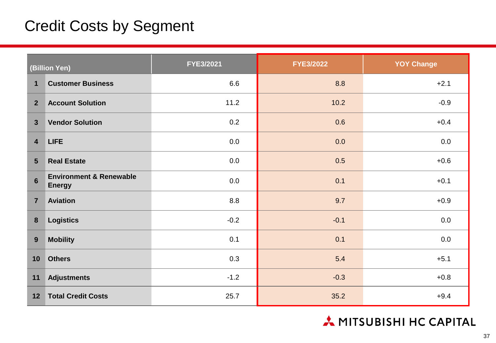## Credit Costs by Segment

|                         | (Billion Yen)                                       | FYE3/2021 | <b>FYE3/2022</b> | <b>YOY Change</b> |  |
|-------------------------|-----------------------------------------------------|-----------|------------------|-------------------|--|
| $\mathbf 1$             | <b>Customer Business</b>                            | 6.6       | 8.8              | $+2.1$            |  |
| 2 <sup>1</sup>          | <b>Account Solution</b>                             | 11.2      | 10.2             | $-0.9$            |  |
| $\overline{3}$          | <b>Vendor Solution</b>                              | 0.2       | 0.6              | $+0.4$            |  |
| $\overline{\mathbf{4}}$ | <b>LIFE</b>                                         | 0.0       | 0.0              | 0.0               |  |
| $5\phantom{1}$          | <b>Real Estate</b>                                  | 0.0       | 0.5              | $+0.6$            |  |
| $6\phantom{1}$          | <b>Environment &amp; Renewable</b><br><b>Energy</b> | $0.0\,$   | 0.1              | $+0.1$            |  |
| $\overline{7}$          | <b>Aviation</b>                                     | $8.8\,$   | 9.7              | $+0.9$            |  |
| $\boldsymbol{8}$        | <b>Logistics</b>                                    | $-0.2$    | $-0.1$           | 0.0               |  |
| 9                       | <b>Mobility</b>                                     | 0.1       | 0.1              | 0.0               |  |
| 10                      | <b>Others</b>                                       | 0.3       | 5.4              | $+5.1$            |  |
| 11                      | <b>Adjustments</b>                                  | $-1.2$    | $-0.3$           | $+0.8$            |  |
| 12                      | <b>Total Credit Costs</b>                           | 25.7      | 35.2             | $+9.4$            |  |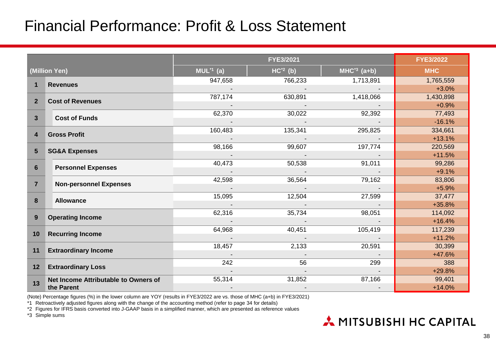## Financial Performance: Profit & Loss Statement

|                         |                                      |                     | <b>FYE3/2022</b> |                 |            |
|-------------------------|--------------------------------------|---------------------|------------------|-----------------|------------|
|                         | (Million Yen)                        | $MUL^{\star 1}$ (a) | $HC^2$ (b)       | $MHC^{3}$ (a+b) | <b>MHC</b> |
|                         |                                      | 947,658             | 766,233          | 1,713,891       | 1,765,559  |
| $\mathbf 1$             | <b>Revenues</b>                      |                     |                  |                 | $+3.0%$    |
| $\overline{2}$          | <b>Cost of Revenues</b>              | 787,174             | 630,891          | 1,418,066       | 1,430,898  |
|                         |                                      |                     |                  |                 | $+0.9%$    |
| $\mathbf{3}$            | <b>Cost of Funds</b>                 | 62,370              | 30,022           | 92,392          | 77,493     |
|                         |                                      |                     |                  |                 | $-16.1%$   |
| $\overline{\mathbf{4}}$ | <b>Gross Profit</b>                  | 160,483             | 135,341          | 295,825         | 334,661    |
|                         |                                      |                     |                  |                 | $+13.1%$   |
| 5                       | <b>SG&amp;A Expenses</b>             | 98,166              | 99,607           | 197,774         | 220,569    |
|                         |                                      |                     |                  |                 | $+11.5%$   |
| 6                       | <b>Personnel Expenses</b>            | 40,473              | 50,538           | 91,011          | 99,286     |
|                         |                                      |                     |                  |                 | $+9.1%$    |
| $\overline{7}$          | <b>Non-personnel Expenses</b>        | 42,598              | 36,564           | 79,162          | 83,806     |
|                         |                                      |                     |                  |                 | $+5.9%$    |
| 8                       | <b>Allowance</b>                     | 15,095              | 12,504           | 27,599          | 37,477     |
|                         |                                      |                     |                  |                 | $+35.8%$   |
| 9                       | <b>Operating Income</b>              | 62,316              | 35,734           | 98,051          | 114,092    |
|                         |                                      |                     |                  |                 | $+16.4%$   |
| 10                      | <b>Recurring Income</b>              | 64,968              | 40,451           | 105,419         | 117,239    |
|                         |                                      |                     |                  |                 | $+11.2%$   |
| 11                      | <b>Extraordinary Income</b>          | 18,457              | 2,133            | 20,591          | 30,399     |
|                         |                                      |                     |                  |                 | +47.6%     |
| 12                      | <b>Extraordinary Loss</b>            | 242                 | 56               | 299             | 388        |
|                         |                                      |                     |                  |                 | $+29.8%$   |
| 13                      | Net Income Attributable to Owners of | 55,314              | 31,852           | 87,166          | 99,401     |
|                         | the Parent                           |                     |                  |                 | $+14.0%$   |

(Note) Percentage figures (%) in the lower column are YOY (results in FYE3/2022 are vs. those of MHC (a+b) in FYE3/2021)

\*1 Retroactively adjusted figures along with the change of the accounting method (refer to page 34 for details)

\*2 Figures for IFRS basis converted into J-GAAP basis in a simplified manner, which are presented as reference values

\*3 Simple sums

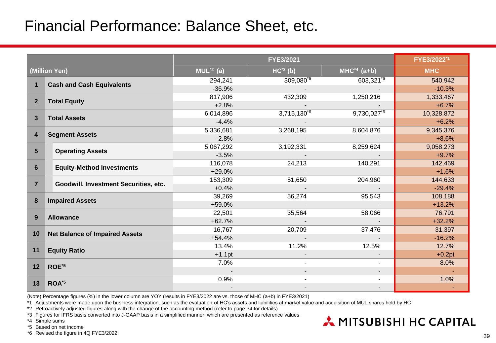## Financial Performance: Balance Sheet, etc.

|                         |                                       |             | FYE3/2022*1                |                           |            |
|-------------------------|---------------------------------------|-------------|----------------------------|---------------------------|------------|
| (Million Yen)           |                                       | $MUL^2$ (a) | $HC^{3}$ (b)               | $MHC^{4}$ (a+b)           | <b>MHC</b> |
|                         |                                       | 294,241     | $309,080^{6}$              | $603,321^{6}$             | 540,942    |
| $\mathbf{1}$            | <b>Cash and Cash Equivalents</b>      | $-36.9%$    |                            |                           | $-10.3%$   |
| $\overline{2}$          |                                       | 817,906     | 432,309                    | 1,250,216                 | 1,333,467  |
|                         | <b>Total Equity</b>                   | $+2.8%$     |                            |                           | $+6.7%$    |
| 3                       | <b>Total Assets</b>                   | 6,014,896   | $3,71\overline{5,130^{6}}$ | $9,730,027$ <sup>76</sup> | 10,328,872 |
|                         |                                       | $-4.4%$     |                            |                           | $+6.2%$    |
| $\overline{\mathbf{4}}$ | <b>Segment Assets</b>                 | 5,336,681   | 3,268,195                  | 8,604,876                 | 9,345,376  |
|                         |                                       | $-2.8%$     |                            |                           | $+8.6%$    |
| $5\phantom{1}$          | <b>Operating Assets</b>               | 5,067,292   | 3,192,331                  | 8,259,624                 | 9,058,273  |
|                         |                                       | $-3.5%$     |                            |                           | $+9.7%$    |
| $6\phantom{1}$          | <b>Equity-Method Investments</b>      | 116,078     | 24,213                     | 140,291                   | 142,469    |
|                         |                                       | $+29.0%$    |                            |                           | $+1.6%$    |
| $\overline{7}$          | Goodwill, Investment Securities, etc. | 153,309     | 51,650                     | 204,960                   | 144,633    |
|                         |                                       | $+0.4%$     |                            |                           | $-29.4%$   |
| 8                       | <b>Impaired Assets</b>                | 39,269      | 56,274                     | 95,543                    | 108,188    |
|                         |                                       | +59.0%      |                            |                           | $+13.2%$   |
| 9                       | <b>Allowance</b>                      | 22,501      | 35,564                     | 58,066                    | 76,791     |
|                         |                                       | $+62.7%$    |                            |                           | $+32.2%$   |
| 10                      | <b>Net Balance of Impaired Assets</b> | 16,767      | 20,709                     | 37,476                    | 31,397     |
|                         |                                       | $+54.4%$    |                            |                           | $-16.2%$   |
| 11                      | <b>Equity Ratio</b>                   | 13.4%       | 11.2%                      | 12.5%                     | 12.7%      |
|                         |                                       | $+1.1$ pt   |                            | $\overline{\phantom{a}}$  | $+0.2pt$   |
| 12                      | ROE*5                                 | 7.0%        |                            |                           | 8.0%       |
|                         |                                       |             |                            | $\blacksquare$            |            |
| 13                      | ROA <sup>*5</sup>                     | 0.9%        |                            |                           | 1.0%       |
|                         |                                       |             |                            |                           |            |

(Note) Percentage figures (%) in the lower column are YOY (results in FYE3/2022 are vs. those of MHC (a+b) in FYE3/2021)

\*1 Adjustments were made upon the business integration, such as the evaluation of HC's assets and liabilities at market value and acquisition of MUL shares held by HC

\*2 Retroactively adjusted figures along with the change of the accounting method (refer to page 34 for details)

\*3 Figures for IFRS basis converted into J-GAAP basis in a simplified manner, which are presented as reference values

- \*4 Simple sums
- \*5 Based on net income

\*6 Revised the figure in 4Q FYE3/2022

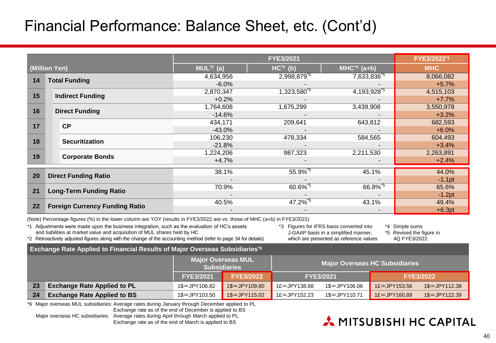## Financial Performance: Balance Sheet, etc. (Cont'd)

|               |                                       |                          | FYE3/2022*1                         |                        |            |
|---------------|---------------------------------------|--------------------------|-------------------------------------|------------------------|------------|
| (Million Yen) |                                       | $MU2$ (a)                | $HC^{3}$ (b)                        | $MHC^{4}$ (a+b)        | <b>MHC</b> |
| 14            |                                       | 4,634,956                | 2,998,879 <sup>*5</sup>             | 7,633,836 <sup>5</sup> | 8,066,082  |
|               | <b>Total Funding</b>                  | $-6.0%$                  |                                     |                        | $+5.7%$    |
| 15            | <b>Indirect Funding</b>               | 2,870,347                | 1,323,580 <sup><math>5</math></sup> | 4,193,928 <sup>5</sup> | 4,515,103  |
|               |                                       | $+0.2%$                  |                                     |                        | $+7.7%$    |
| 16            | <b>Direct Funding</b>                 | 1,764,608                | 1,675,299                           | 3,439,908              | 3,550,978  |
|               |                                       | $-14.6%$                 |                                     |                        | $+3.2%$    |
| 17            | CP                                    | 434,171                  | 209,641                             | 643,812                | 682,593    |
|               |                                       | $-43.0%$                 |                                     |                        | $+6.0%$    |
| 18            | <b>Securitization</b>                 | 106,230                  | 478,334                             | 584,565                | 604,493    |
|               |                                       | $-21.8%$                 |                                     |                        | $+3.4%$    |
| 19            |                                       | 1,224,206                | 987,323                             | 2,211,530              | 2,263,891  |
|               | <b>Corporate Bonds</b>                | $+4.7%$                  |                                     |                        | $+2.4%$    |
|               |                                       | 38.1%                    | 55.9%*5                             | 45.1%                  | 44.0%      |
| 20            | <b>Direct Funding Ratio</b>           |                          |                                     |                        | $-1.1$ pt  |
|               |                                       | 70.9%                    | 60.6%*5                             | 66.8%*5                | 65.6%      |
| 21            | <b>Long-Term Funding Ratio</b>        | $\overline{\phantom{a}}$ |                                     | $\blacksquare$         | $-1.2pt$   |
|               |                                       | 40.5%                    | 47.2%*5                             | 43.1%                  | 49.4%      |
| 22            | <b>Foreign Currency Funding Ratio</b> |                          |                                     |                        | $+6.3pt$   |

(Note) Percentage figures (%) in the lower column are YOY (results in FYE3/2022 are vs. those of MHC (a+b) in FYE3/2021)

\*1 Adjustments were made upon the business integration, such as the evaluation of HC's assets and liabilities at market value and acquisition of MUL shares held by HC

\*3 Figures for IFRS basis converted into J-GAAP basis in a simplified manner, which are presented as reference values

\*4 Simple sums

\*5 Revised the figure in 4Q FYE3/2022

**Exchange Rate Applied to Financial Results of Major Overseas Subsidiaries\*6** \*2 Retroactively adjusted figures along with the change of the accounting method (refer to page 34 for details)

|    | ---                                |                                                  |                  |                                       |                  |                  |                  |
|----|------------------------------------|--------------------------------------------------|------------------|---------------------------------------|------------------|------------------|------------------|
|    |                                    | <b>Major Overseas MUL</b><br><b>Subsidiaries</b> |                  | <b>Major Overseas HC Subsidiaries</b> |                  |                  |                  |
|    |                                    | <b>FYE3/2021</b>                                 | <b>FYE3/2022</b> |                                       | <b>FYE3/2021</b> |                  | <b>FYE3/2022</b> |
| 23 | <b>Exchange Rate Applied to PL</b> | 1\$=JPY106.82                                    | $1\$ = JPY109.80 | $1E = JPY138.68$                      | 1\$=JPY106.06    | $1E = JPY153.56$ | 1\$=JPY112.38    |
| 24 | <b>Exchange Rate Applied to BS</b> | 1\$=JPY103.50                                    | $1\$ = JPY115.02 | $1£ = JPY152.23$                      | 1\$=JPY110.71    | $1E = JPY160.89$ | $1\$ = JPY122.39 |

\*6 Major overseas MUL subsidiaries: Average rates during January through December applied to PL

Exchange rate as of the end of December is applied to BS

Major overseas HC subsidiaries: Average rates during April through March applied to PL Exchange rate as of the end of March is applied to BS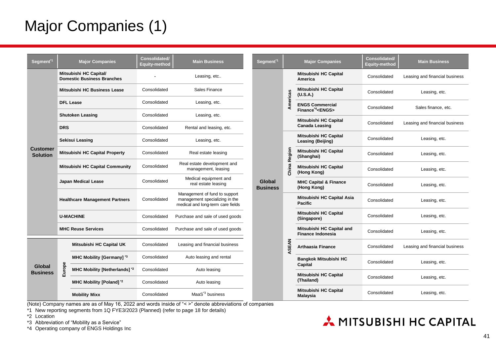## Major Companies (1)

| Segment <sup>*1</sup>       | <b>Major Companies</b>                                      |                               | <b>Consolidated/</b><br><b>Equity-method</b> | <b>Main Business</b>                                                                                 |  |
|-----------------------------|-------------------------------------------------------------|-------------------------------|----------------------------------------------|------------------------------------------------------------------------------------------------------|--|
|                             | Mitsubishi HC Capital/<br><b>Domestic Business Branches</b> |                               |                                              | Leasing, etc                                                                                         |  |
|                             |                                                             | Mitsubishi HC Business Lease  | Consolidated                                 | Sales Finance                                                                                        |  |
|                             | <b>DFL Lease</b>                                            |                               | Consolidated                                 | Leasing, etc.                                                                                        |  |
|                             | <b>Shutoken Leasing</b>                                     |                               | Consolidated                                 | Leasing, etc.                                                                                        |  |
|                             | <b>DRS</b>                                                  |                               | Consolidated                                 | Rental and leasing, etc.                                                                             |  |
|                             | Sekisui Leasing                                             |                               | Consolidated                                 | Leasing, etc.                                                                                        |  |
| Customer<br><b>Solution</b> | Mitsubishi HC Capital Property                              |                               | Consolidated                                 | Real estate leasing                                                                                  |  |
|                             | Mitsubishi HC Capital Community                             |                               | Consolidated                                 | Real estate development and<br>management, leasing                                                   |  |
|                             | Japan Medical Lease                                         |                               | Consolidated                                 | Medical equipment and<br>real estate leasing                                                         |  |
|                             | <b>Healthcare Management Partners</b>                       |                               | Consolidated                                 | Management of fund to support<br>management specializing in the<br>medical and long-term care fields |  |
|                             | <b>U-MACHINE</b>                                            |                               | Consolidated                                 | Purchase and sale of used goods                                                                      |  |
|                             |                                                             | <b>MHC Reuse Services</b>     | Consolidated                                 | Purchase and sale of used goods                                                                      |  |
|                             | Europe                                                      | Mitsubishi HC Capital UK      | Consolidated                                 | Leasing and financial business                                                                       |  |
|                             |                                                             | MHC Mobility [Germany] *3     | Consolidated                                 | Auto leasing and rental                                                                              |  |
| Global<br><b>Business</b>   |                                                             | MHC Mobility [Netherlands] *2 | Consolidated                                 | Auto leasing                                                                                         |  |
|                             |                                                             | MHC Mobility [Poland] *2      | Consolidated                                 | Auto leasing                                                                                         |  |
|                             |                                                             | <b>Mobility Mixx</b>          | Consolidated                                 | MaaS <sup>*3</sup> business                                                                          |  |

| Segment <sup>*1</sup>     |              | <b>Major Companies</b>                                        | Consolidated/<br><b>Equity-method</b>                 | <b>Main Business</b>           |               |
|---------------------------|--------------|---------------------------------------------------------------|-------------------------------------------------------|--------------------------------|---------------|
|                           |              | Mitsubishi HC Capital<br>America                              | Consolidated                                          | Leasing and financial business |               |
|                           | Americas     | Mitsubishi HC Capital<br>(U.S.A.)                             | Consolidated                                          | Leasing, etc.                  |               |
|                           |              | <b>ENGS Commercial</b><br>Finance <sup>*4</sup> <engs></engs> | Consolidated                                          | Sales finance, etc.            |               |
|                           |              | Mitsubishi HC Capital<br><b>Canada Leasing</b>                | Consolidated                                          | Leasing and financial business |               |
|                           |              | Mitsubishi HC Capital<br>Leasing (Beijing)                    | Consolidated                                          | Leasing, etc.                  |               |
|                           | China Region | Mitsubishi HC Capital<br>(Shanghai)                           | Consolidated                                          | Leasing, etc.                  |               |
|                           |              | Mitsubishi HC Capital<br>(Hong Kong)                          | Consolidated                                          | Leasing, etc.                  |               |
| Global<br><b>Business</b> |              | <b>MHC Capital &amp; Finance</b><br>(Hong Kong)               | Consolidated                                          | Leasing, etc.                  |               |
|                           |              | Mitsubishi HC Capital Asia<br><b>Pacific</b>                  | Consolidated                                          | Leasing, etc.                  |               |
|                           | ASEAN        | Mitsubishi HC Capital<br>(Singapore)                          | Consolidated                                          | Leasing, etc.                  |               |
|                           |              |                                                               | Mitsubishi HC Capital and<br><b>Finance Indonesia</b> | Consolidated                   | Leasing, etc. |
|                           |              | Arthaasia Finance                                             | Consolidated                                          | Leasing and financial business |               |
|                           |              | <b>Bangkok Mitsubishi HC</b><br>Capital                       | Consolidated                                          | Leasing, etc.                  |               |
|                           |              | Mitsubishi HC Capital<br>(Thailand)                           | Consolidated                                          | Leasing, etc.                  |               |
|                           |              | Mitsubishi HC Capital<br>Malaysia                             | Consolidated                                          | Leasing, etc.                  |               |

(Note) Company names are as of May 16, 2022 and words inside of "< >" denote abbreviations of companies

- \*1 New reporting segments from 1Q FYE3/2023 (Planned) (refer to page 18 for details)
- \*2 Location
- \*3 Abbreviation of "Mobility as a Service"

\*4 Operating company of ENGS Holdings Inc

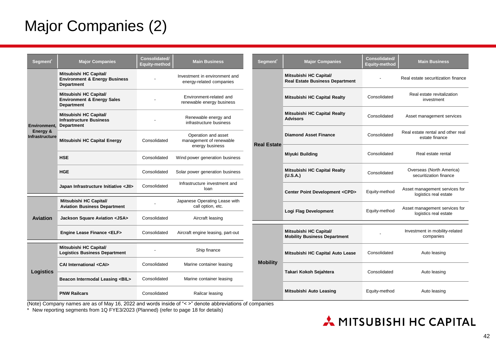## Major Companies (2)

| Segment <sup>*</sup>              | <b>Major Companies</b>                                                                  | Consolidated/<br><b>Equity-method</b> | <b>Main Business</b>                                              |
|-----------------------------------|-----------------------------------------------------------------------------------------|---------------------------------------|-------------------------------------------------------------------|
|                                   | Mitsubishi HC Capital/<br><b>Environment &amp; Energy Business</b><br><b>Department</b> |                                       | Investment in environment and<br>energy-related companies         |
|                                   | Mitsubishi HC Capital/<br><b>Environment &amp; Energy Sales</b><br><b>Department</b>    |                                       | Environment-related and<br>renewable energy business              |
| Environment.                      | Mitsubishi HC Capital/<br><b>Infrastructure Business</b><br><b>Department</b>           |                                       | Renewable energy and<br>infrastructure business                   |
| Energy &<br><b>Infrastructure</b> | Mitsubishi HC Capital Energy                                                            | Consolidated                          | Operation and asset<br>management of renewable<br>energy business |
|                                   | <b>HSE</b>                                                                              | Consolidated                          | Wind power generation business                                    |
|                                   | <b>HGE</b>                                                                              | Consolidated                          | Solar power generation business                                   |
|                                   | Japan Infrastructure Initiative <jii></jii>                                             | Consolidated                          | Infrastructure investment and<br>loan                             |
|                                   | Mitsubishi HC Capital/<br><b>Aviation Business Department</b>                           |                                       | Japanese Operating Lease with<br>call option, etc.                |
| <b>Aviation</b>                   | Jackson Square Aviation <jsa></jsa>                                                     | Consolidated                          | Aircraft leasing                                                  |
|                                   | Engine Lease Finance <elf></elf>                                                        | Consolidated                          | Aircraft engine leasing, part-out                                 |
|                                   | Mitsubishi HC Capital/<br><b>Logistics Business Department</b>                          |                                       | Ship finance                                                      |
|                                   | <b>CAI International <cai></cai></b>                                                    | Consolidated                          | Marine container leasing                                          |
| Logistics                         | Beacon Intermodal Leasing <bil></bil>                                                   | Consolidated                          | Marine container leasing                                          |
|                                   | <b>PNW Railcars</b>                                                                     | Consolidated                          | Railcar leasing                                                   |

| Segment <sup>®</sup> | <b>Major Companies</b>                                           | Consolidated/<br>Equity-method | <b>Main Business</b>                                   |
|----------------------|------------------------------------------------------------------|--------------------------------|--------------------------------------------------------|
|                      | Mitsubishi HC Capital/<br><b>Real Estate Business Department</b> | $\blacksquare$                 | Real estate securitization finance                     |
|                      | Mitsubishi HC Capital Realty                                     | Consolidated                   | Real estate revitalization<br>investment               |
|                      | Mitsubishi HC Capital Realty<br><b>Advisors</b>                  | Consolidated                   | Asset management services                              |
| <b>Real Estate</b>   | <b>Diamond Asset Finance</b>                                     | Consolidated                   | Real estate rental and other real<br>estate finance    |
|                      | <b>Miyuki Building</b>                                           | Consolidated                   | Real estate rental                                     |
|                      | Mitsubishi HC Capital Realty<br>(U.S.A.)                         | Consolidated                   | Overseas (North America)<br>securitization finance     |
|                      | Center Point Development <cpd></cpd>                             | Equity-method                  | Asset management services for<br>logistics real estate |
|                      | Logi Flag Development                                            | Equity-method                  | Asset management services for<br>logistics real estate |
|                      | Mitsubishi HC Capital/<br><b>Mobility Business Department</b>    |                                | Investment in mobility-related<br>companies            |
|                      | Mitsubishi HC Capital Auto Lease                                 | Consolidated                   | Auto leasing                                           |
| <b>Mobility</b>      | Takari Kokoh Sejahtera                                           | Consolidated                   | Auto leasing                                           |
|                      | Mitsubishi Auto Leasing                                          | Equity-method                  | Auto leasing                                           |

(Note) Company names are as of May 16, 2022 and words inside of "< >" denote abbreviations of companies

\* New reporting segments from 1Q FYE3/2023 (Planned) (refer to page 18 for details)

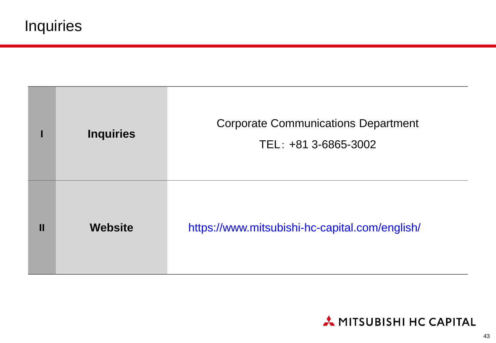|   | <b>Inquiries</b> | <b>Corporate Communications Department</b><br>TEL: +81 3-6865-3002 |
|---|------------------|--------------------------------------------------------------------|
| П | <b>Website</b>   | https://www.mitsubishi-hc-capital.com/english/                     |